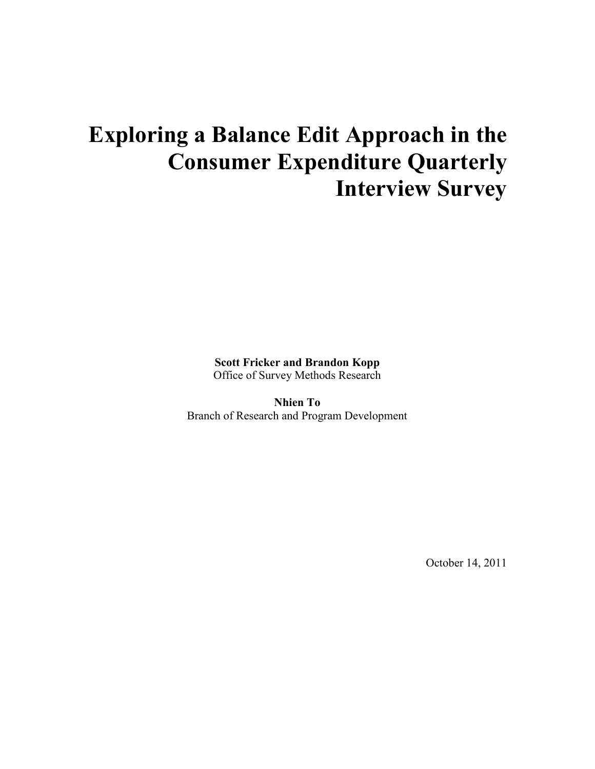# **Exploring a Balance Edit Approach in the Consumer Expenditure Quarterly Interview Survey**

**Scott Fricker and Brandon Kopp**  Office of Survey Methods Research

**Nhien To**  Branch of Research and Program Development

October 14, 2011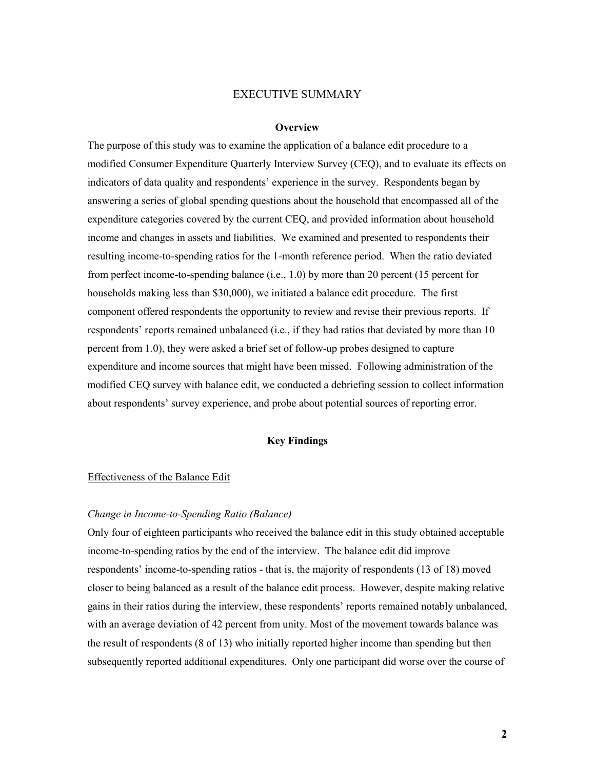#### EXECUTIVE SUMMARY

#### **Overview**

The purpose of this study was to examine the application of a balance edit procedure to a modified Consumer Expenditure Quarterly Interview Survey (CEQ), and to evaluate its effects on indicators of data quality and respondents" experience in the survey. Respondents began by answering a series of global spending questions about the household that encompassed all of the expenditure categories covered by the current CEQ, and provided information about household income and changes in assets and liabilities. We examined and presented to respondents their resulting income-to-spending ratios for the 1-month reference period. When the ratio deviated from perfect income-to-spending balance (i.e., 1.0) by more than 20 percent (15 percent for households making less than \$30,000), we initiated a balance edit procedure. The first component offered respondents the opportunity to review and revise their previous reports. If respondents' reports remained unbalanced (i.e., if they had ratios that deviated by more than 10 percent from 1.0), they were asked a brief set of follow-up probes designed to capture expenditure and income sources that might have been missed. Following administration of the modified CEQ survey with balance edit, we conducted a debriefing session to collect information about respondents" survey experience, and probe about potential sources of reporting error.

#### **Key Findings**

#### Effectiveness of the Balance Edit

#### *Change in Income-to-Spending Ratio (Balance)*

Only four of eighteen participants who received the balance edit in this study obtained acceptable income-to-spending ratios by the end of the interview. The balance edit did improve respondents' income-to-spending ratios - that is, the majority of respondents (13 of 18) moved closer to being balanced as a result of the balance edit process. However, despite making relative gains in their ratios during the interview, these respondents" reports remained notably unbalanced, with an average deviation of 42 percent from unity. Most of the movement towards balance was the result of respondents (8 of 13) who initially reported higher income than spending but then subsequently reported additional expenditures. Only one participant did worse over the course of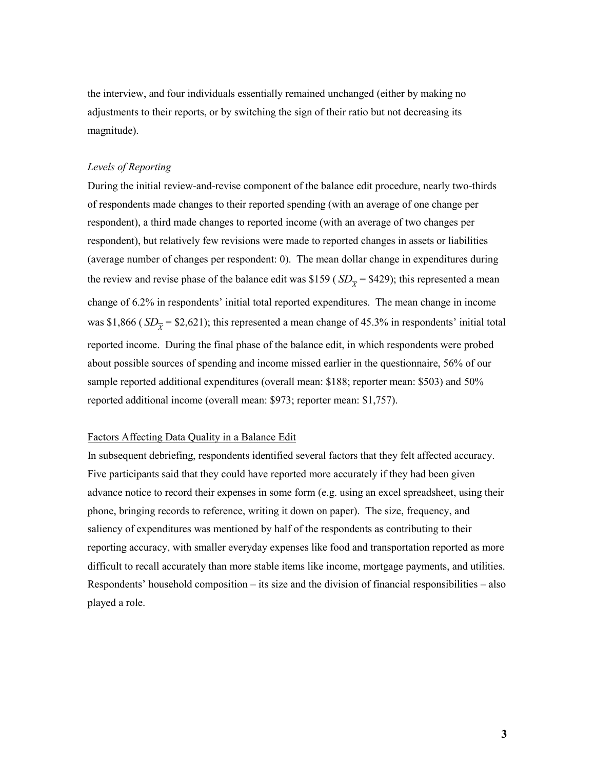the interview, and four individuals essentially remained unchanged (either by making no adjustments to their reports, or by switching the sign of their ratio but not decreasing its magnitude).

#### *Levels of Reporting*

During the initial review-and-revise component of the balance edit procedure, nearly two-thirds of respondents made changes to their reported spending (with an average of one change per respondent), a third made changes to reported income (with an average of two changes per respondent), but relatively few revisions were made to reported changes in assets or liabilities (average number of changes per respondent: 0). The mean dollar change in expenditures during the review and revise phase of the balance edit was \$159 ( $SD_{\overline{X}}$  = \$429); this represented a mean change of 6.2% in respondents' initial total reported expenditures. The mean change in income was \$1,866 ( $SD_{\overline{X}}$  = \$2,621); this represented a mean change of 45.3% in respondents' initial total reported income. During the final phase of the balance edit, in which respondents were probed about possible sources of spending and income missed earlier in the questionnaire, 56% of our sample reported additional expenditures (overall mean: \$188; reporter mean: \$503) and 50% reported additional income (overall mean: \$973; reporter mean: \$1,757).

#### Factors Affecting Data Quality in a Balance Edit

In subsequent debriefing, respondents identified several factors that they felt affected accuracy. Five participants said that they could have reported more accurately if they had been given advance notice to record their expenses in some form (e.g. using an excel spreadsheet, using their phone, bringing records to reference, writing it down on paper). The size, frequency, and saliency of expenditures was mentioned by half of the respondents as contributing to their reporting accuracy, with smaller everyday expenses like food and transportation reported as more difficult to recall accurately than more stable items like income, mortgage payments, and utilities. Respondents' household composition – its size and the division of financial responsibilities – also played a role.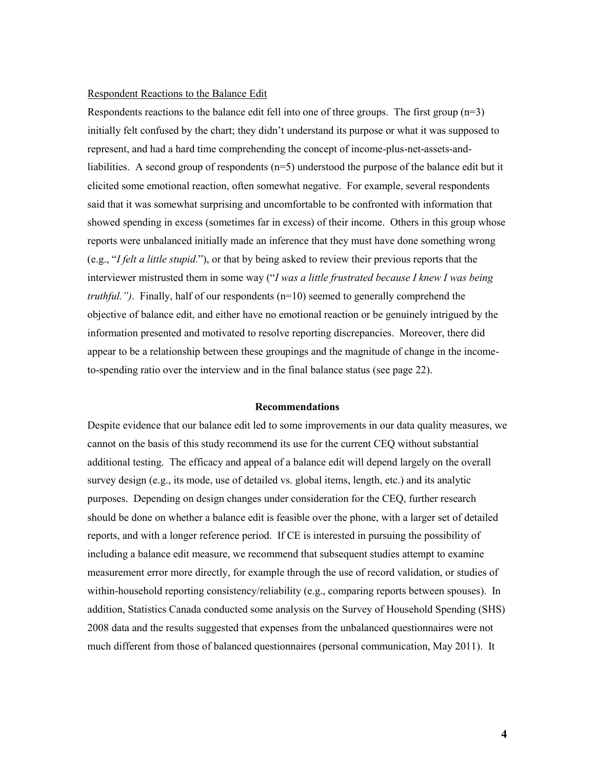#### Respondent Reactions to the Balance Edit

Respondents reactions to the balance edit fell into one of three groups. The first group  $(n=3)$ initially felt confused by the chart; they didn"t understand its purpose or what it was supposed to represent, and had a hard time comprehending the concept of income-plus-net-assets-andliabilities. A second group of respondents (n=5) understood the purpose of the balance edit but it elicited some emotional reaction, often somewhat negative. For example, several respondents said that it was somewhat surprising and uncomfortable to be confronted with information that showed spending in excess (sometimes far in excess) of their income. Others in this group whose reports were unbalanced initially made an inference that they must have done something wrong (e.g., "*I felt a little stupid.*"), or that by being asked to review their previous reports that the interviewer mistrusted them in some way ("*I was a little frustrated because I knew I was being truthful."*). Finally, half of our respondents (n=10) seemed to generally comprehend the objective of balance edit, and either have no emotional reaction or be genuinely intrigued by the information presented and motivated to resolve reporting discrepancies. Moreover, there did appear to be a relationship between these groupings and the magnitude of change in the incometo-spending ratio over the interview and in the final balance status (see page 22).

#### **Recommendations**

Despite evidence that our balance edit led to some improvements in our data quality measures, we cannot on the basis of this study recommend its use for the current CEQ without substantial additional testing. The efficacy and appeal of a balance edit will depend largely on the overall survey design (e.g., its mode, use of detailed vs. global items, length, etc.) and its analytic purposes. Depending on design changes under consideration for the CEQ, further research should be done on whether a balance edit is feasible over the phone, with a larger set of detailed reports, and with a longer reference period. If CE is interested in pursuing the possibility of including a balance edit measure, we recommend that subsequent studies attempt to examine measurement error more directly, for example through the use of record validation, or studies of within-household reporting consistency/reliability (e.g., comparing reports between spouses). In addition, Statistics Canada conducted some analysis on the Survey of Household Spending (SHS) 2008 data and the results suggested that expenses from the unbalanced questionnaires were not much different from those of balanced questionnaires (personal communication, May 2011). It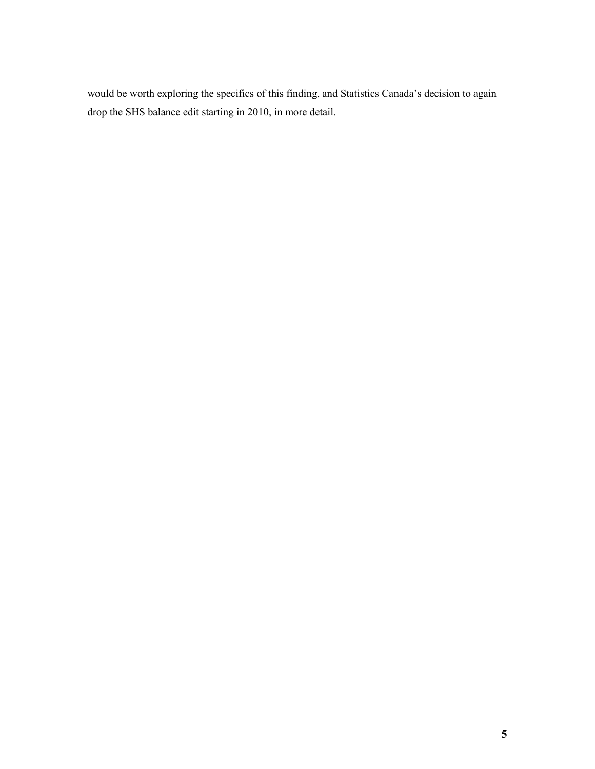would be worth exploring the specifics of this finding, and Statistics Canada"s decision to again drop the SHS balance edit starting in 2010, in more detail.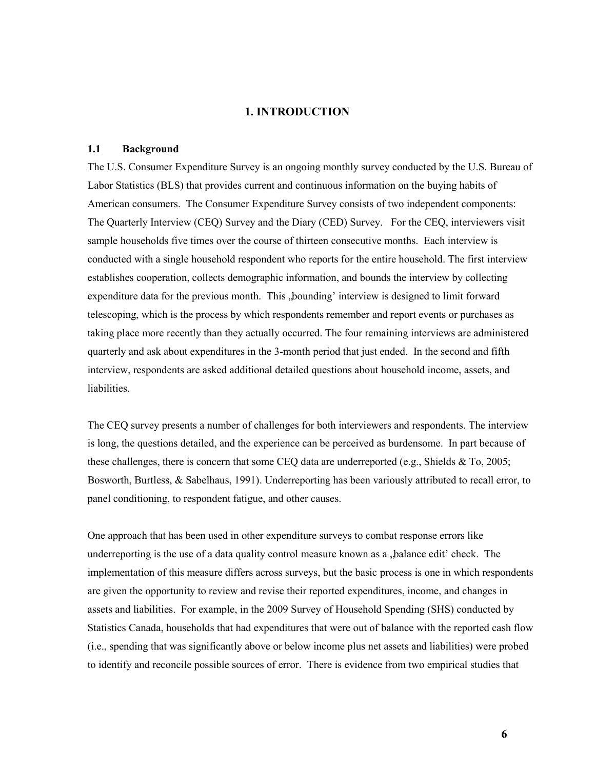## **1. INTRODUCTION**

#### **1.1 Background**

The U.S. Consumer Expenditure Survey is an ongoing monthly survey conducted by the U.S. Bureau of Labor Statistics (BLS) that provides current and continuous information on the buying habits of American consumers. The Consumer Expenditure Survey consists of two independent components: The Quarterly Interview (CEQ) Survey and the Diary (CED) Survey. For the CEQ, interviewers visit sample households five times over the course of thirteen consecutive months. Each interview is conducted with a single household respondent who reports for the entire household. The first interview establishes cooperation, collects demographic information, and bounds the interview by collecting expenditure data for the previous month. This "bounding' interview is designed to limit forward telescoping, which is the process by which respondents remember and report events or purchases as taking place more recently than they actually occurred. The four remaining interviews are administered quarterly and ask about expenditures in the 3-month period that just ended. In the second and fifth interview, respondents are asked additional detailed questions about household income, assets, and **liabilities** 

The CEQ survey presents a number of challenges for both interviewers and respondents. The interview is long, the questions detailed, and the experience can be perceived as burdensome. In part because of these challenges, there is concern that some CEQ data are underreported (e.g., Shields & To, 2005; Bosworth, Burtless, & Sabelhaus, 1991). Underreporting has been variously attributed to recall error, to panel conditioning, to respondent fatigue, and other causes.

One approach that has been used in other expenditure surveys to combat response errors like underreporting is the use of a data quality control measure known as a "balance edit" check. The implementation of this measure differs across surveys, but the basic process is one in which respondents are given the opportunity to review and revise their reported expenditures, income, and changes in assets and liabilities. For example, in the 2009 Survey of Household Spending (SHS) conducted by Statistics Canada, households that had expenditures that were out of balance with the reported cash flow (i.e., spending that was significantly above or below income plus net assets and liabilities) were probed to identify and reconcile possible sources of error. There is evidence from two empirical studies that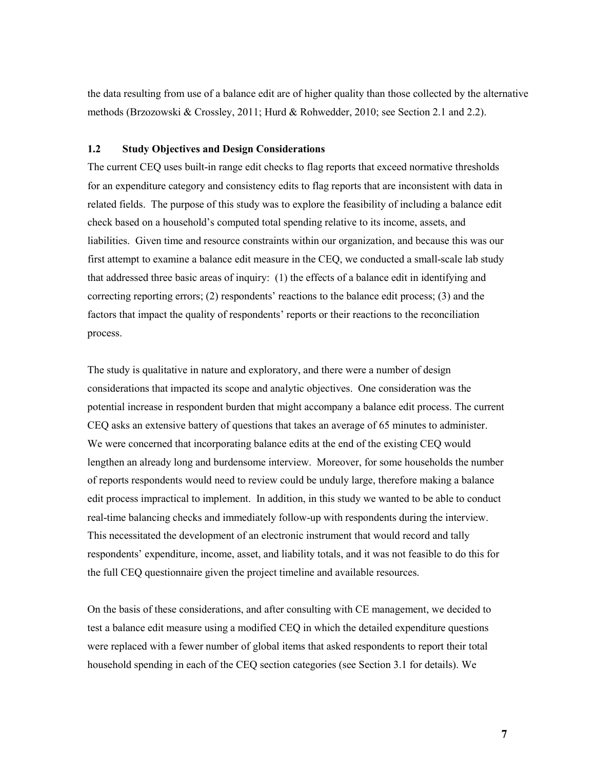the data resulting from use of a balance edit are of higher quality than those collected by the alternative methods (Brzozowski & Crossley, 2011; Hurd & Rohwedder, 2010; see Section 2.1 and 2.2).

#### **1.2 Study Objectives and Design Considerations**

The current CEQ uses built-in range edit checks to flag reports that exceed normative thresholds for an expenditure category and consistency edits to flag reports that are inconsistent with data in related fields. The purpose of this study was to explore the feasibility of including a balance edit check based on a household"s computed total spending relative to its income, assets, and liabilities. Given time and resource constraints within our organization, and because this was our first attempt to examine a balance edit measure in the CEQ, we conducted a small-scale lab study that addressed three basic areas of inquiry: (1) the effects of a balance edit in identifying and correcting reporting errors; (2) respondents" reactions to the balance edit process; (3) and the factors that impact the quality of respondents' reports or their reactions to the reconciliation process.

The study is qualitative in nature and exploratory, and there were a number of design considerations that impacted its scope and analytic objectives. One consideration was the potential increase in respondent burden that might accompany a balance edit process. The current CEQ asks an extensive battery of questions that takes an average of 65 minutes to administer. We were concerned that incorporating balance edits at the end of the existing CEQ would lengthen an already long and burdensome interview. Moreover, for some households the number of reports respondents would need to review could be unduly large, therefore making a balance edit process impractical to implement. In addition, in this study we wanted to be able to conduct real-time balancing checks and immediately follow-up with respondents during the interview. This necessitated the development of an electronic instrument that would record and tally respondents" expenditure, income, asset, and liability totals, and it was not feasible to do this for the full CEQ questionnaire given the project timeline and available resources.

On the basis of these considerations, and after consulting with CE management, we decided to test a balance edit measure using a modified CEQ in which the detailed expenditure questions were replaced with a fewer number of global items that asked respondents to report their total household spending in each of the CEQ section categories (see Section 3.1 for details). We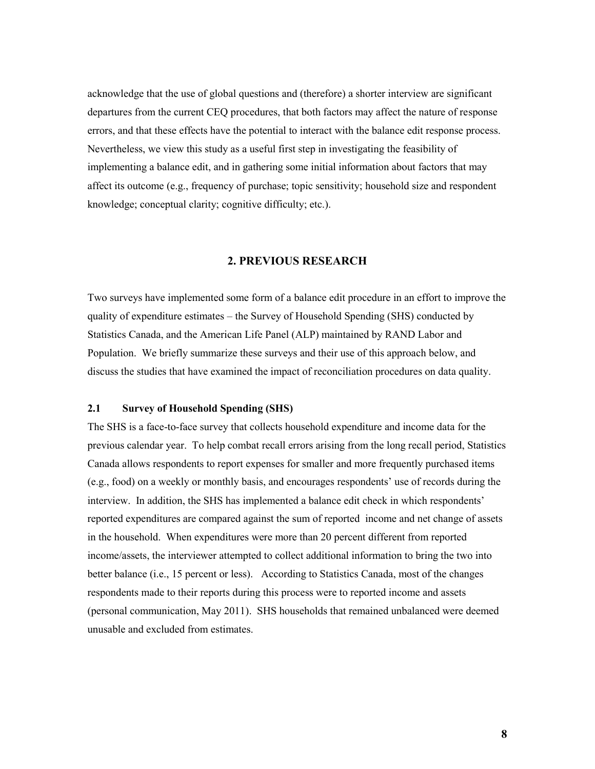acknowledge that the use of global questions and (therefore) a shorter interview are significant departures from the current CEQ procedures, that both factors may affect the nature of response errors, and that these effects have the potential to interact with the balance edit response process. Nevertheless, we view this study as a useful first step in investigating the feasibility of implementing a balance edit, and in gathering some initial information about factors that may affect its outcome (e.g., frequency of purchase; topic sensitivity; household size and respondent knowledge; conceptual clarity; cognitive difficulty; etc.).

#### **2. PREVIOUS RESEARCH**

Two surveys have implemented some form of a balance edit procedure in an effort to improve the quality of expenditure estimates – the Survey of Household Spending (SHS) conducted by Statistics Canada, and the American Life Panel (ALP) maintained by RAND Labor and Population. We briefly summarize these surveys and their use of this approach below, and discuss the studies that have examined the impact of reconciliation procedures on data quality.

## **2.1 Survey of Household Spending (SHS)**

The SHS is a face-to-face survey that collects household expenditure and income data for the previous calendar year. To help combat recall errors arising from the long recall period, Statistics Canada allows respondents to report expenses for smaller and more frequently purchased items (e.g., food) on a weekly or monthly basis, and encourages respondents" use of records during the interview. In addition, the SHS has implemented a balance edit check in which respondents' reported expenditures are compared against the sum of reported income and net change of assets in the household. When expenditures were more than 20 percent different from reported income/assets, the interviewer attempted to collect additional information to bring the two into better balance (i.e., 15 percent or less). According to Statistics Canada, most of the changes respondents made to their reports during this process were to reported income and assets (personal communication, May 2011). SHS households that remained unbalanced were deemed unusable and excluded from estimates.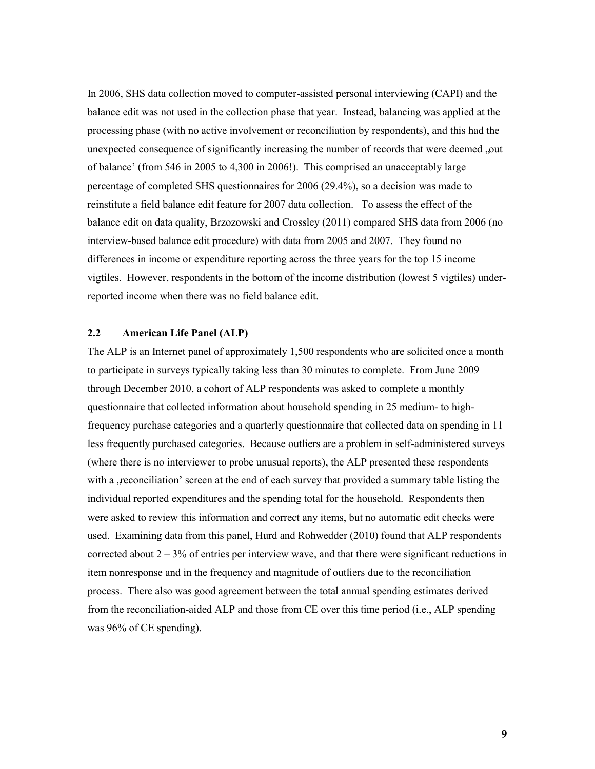In 2006, SHS data collection moved to computer-assisted personal interviewing (CAPI) and the balance edit was not used in the collection phase that year. Instead, balancing was applied at the processing phase (with no active involvement or reconciliation by respondents), and this had the unexpected consequence of significantly increasing the number of records that were deemed , out of balance" (from 546 in 2005 to 4,300 in 2006!). This comprised an unacceptably large percentage of completed SHS questionnaires for 2006 (29.4%), so a decision was made to reinstitute a field balance edit feature for 2007 data collection. To assess the effect of the balance edit on data quality, Brzozowski and Crossley (2011) compared SHS data from 2006 (no interview-based balance edit procedure) with data from 2005 and 2007. They found no differences in income or expenditure reporting across the three years for the top 15 income vigtiles. However, respondents in the bottom of the income distribution (lowest 5 vigtiles) underreported income when there was no field balance edit.

## **2.2 American Life Panel (ALP)**

The ALP is an Internet panel of approximately 1,500 respondents who are solicited once a month to participate in surveys typically taking less than 30 minutes to complete. From June 2009 through December 2010, a cohort of ALP respondents was asked to complete a monthly questionnaire that collected information about household spending in 25 medium- to highfrequency purchase categories and a quarterly questionnaire that collected data on spending in 11 less frequently purchased categories. Because outliers are a problem in self-administered surveys (where there is no interviewer to probe unusual reports), the ALP presented these respondents with a , reconciliation' screen at the end of each survey that provided a summary table listing the individual reported expenditures and the spending total for the household. Respondents then were asked to review this information and correct any items, but no automatic edit checks were used. Examining data from this panel, Hurd and Rohwedder (2010) found that ALP respondents corrected about  $2 - 3\%$  of entries per interview wave, and that there were significant reductions in item nonresponse and in the frequency and magnitude of outliers due to the reconciliation process. There also was good agreement between the total annual spending estimates derived from the reconciliation-aided ALP and those from CE over this time period (i.e., ALP spending was 96% of CE spending).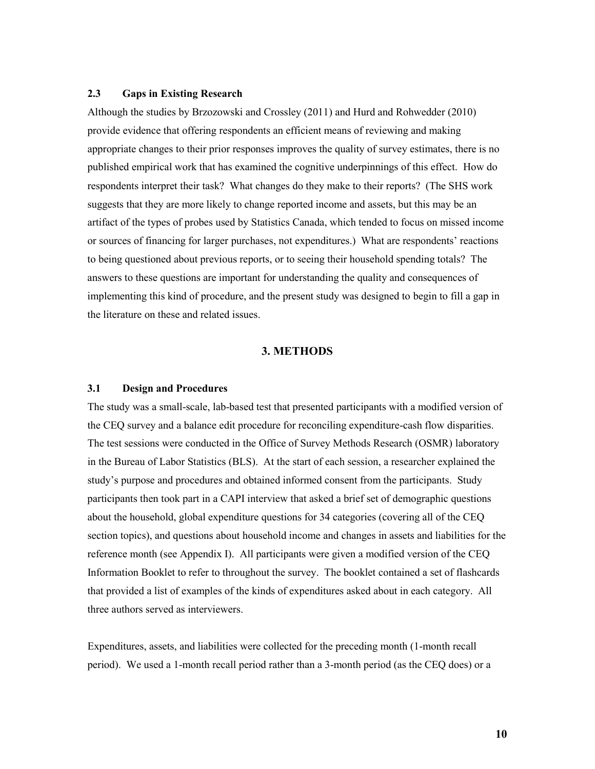## **2.3 Gaps in Existing Research**

Although the studies by Brzozowski and Crossley (2011) and Hurd and Rohwedder (2010) provide evidence that offering respondents an efficient means of reviewing and making appropriate changes to their prior responses improves the quality of survey estimates, there is no published empirical work that has examined the cognitive underpinnings of this effect. How do respondents interpret their task? What changes do they make to their reports? (The SHS work suggests that they are more likely to change reported income and assets, but this may be an artifact of the types of probes used by Statistics Canada, which tended to focus on missed income or sources of financing for larger purchases, not expenditures.) What are respondents" reactions to being questioned about previous reports, or to seeing their household spending totals? The answers to these questions are important for understanding the quality and consequences of implementing this kind of procedure, and the present study was designed to begin to fill a gap in the literature on these and related issues.

# **3. METHODS**

#### **3.1 Design and Procedures**

The study was a small-scale, lab-based test that presented participants with a modified version of the CEQ survey and a balance edit procedure for reconciling expenditure-cash flow disparities. The test sessions were conducted in the Office of Survey Methods Research (OSMR) laboratory in the Bureau of Labor Statistics (BLS). At the start of each session, a researcher explained the study"s purpose and procedures and obtained informed consent from the participants. Study participants then took part in a CAPI interview that asked a brief set of demographic questions about the household, global expenditure questions for 34 categories (covering all of the CEQ section topics), and questions about household income and changes in assets and liabilities for the reference month (see Appendix I). All participants were given a modified version of the CEQ Information Booklet to refer to throughout the survey. The booklet contained a set of flashcards that provided a list of examples of the kinds of expenditures asked about in each category. All three authors served as interviewers.

Expenditures, assets, and liabilities were collected for the preceding month (1-month recall period). We used a 1-month recall period rather than a 3-month period (as the CEQ does) or a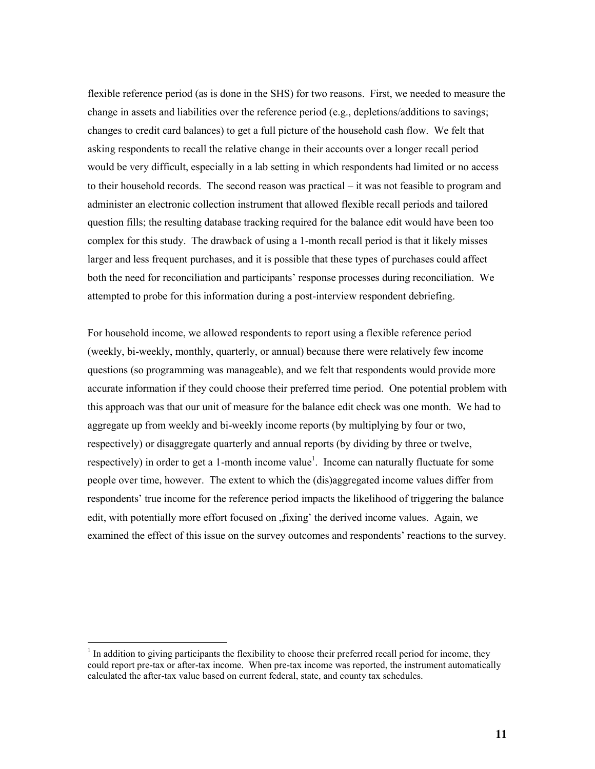flexible reference period (as is done in the SHS) for two reasons. First, we needed to measure the change in assets and liabilities over the reference period (e.g., depletions/additions to savings; changes to credit card balances) to get a full picture of the household cash flow. We felt that asking respondents to recall the relative change in their accounts over a longer recall period would be very difficult, especially in a lab setting in which respondents had limited or no access to their household records. The second reason was practical – it was not feasible to program and administer an electronic collection instrument that allowed flexible recall periods and tailored question fills; the resulting database tracking required for the balance edit would have been too complex for this study. The drawback of using a 1-month recall period is that it likely misses larger and less frequent purchases, and it is possible that these types of purchases could affect both the need for reconciliation and participants" response processes during reconciliation. We attempted to probe for this information during a post-interview respondent debriefing.

For household income, we allowed respondents to report using a flexible reference period (weekly, bi-weekly, monthly, quarterly, or annual) because there were relatively few income questions (so programming was manageable), and we felt that respondents would provide more accurate information if they could choose their preferred time period. One potential problem with this approach was that our unit of measure for the balance edit check was one month. We had to aggregate up from weekly and bi-weekly income reports (by multiplying by four or two, respectively) or disaggregate quarterly and annual reports (by dividing by three or twelve, respectively) in order to get a 1-month income value<sup>1</sup>. Income can naturally fluctuate for some people over time, however. The extent to which the (dis)aggregated income values differ from respondents' true income for the reference period impacts the likelihood of triggering the balance edit, with potentially more effort focused on "fixing" the derived income values. Again, we examined the effect of this issue on the survey outcomes and respondents' reactions to the survey.

<sup>&</sup>lt;sup>1</sup> In addition to giving participants the flexibility to choose their preferred recall period for income, they could report pre-tax or after-tax income. When pre-tax income was reported, the instrument automatically calculated the after-tax value based on current federal, state, and county tax schedules.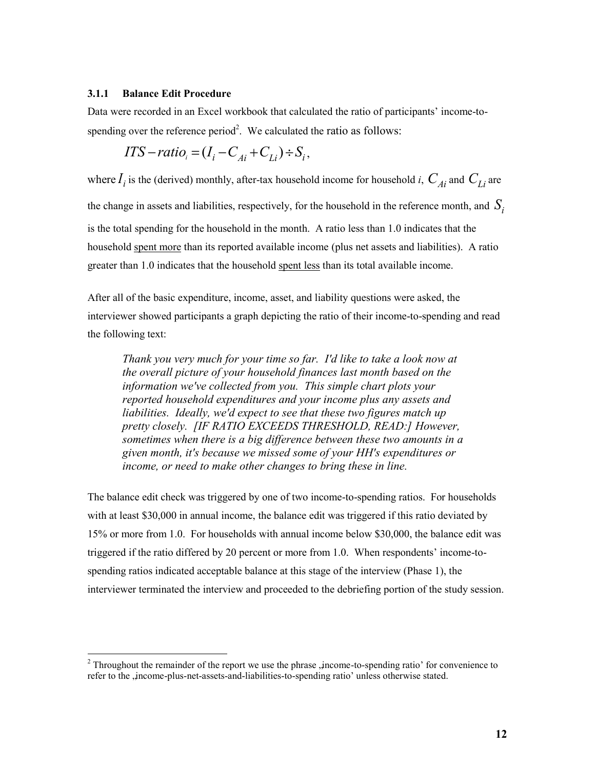#### **3.1.1 Balance Edit Procedure**

Data were recorded in an Excel workbook that calculated the ratio of participants' income-tospending over the reference period<sup>2</sup>. We calculated the ratio as follows:<br>  $ITS-ratio_i = (I_i - C_{Ai} + C_{Li}) \div S_i$ ,

$$
ITS-ratio_i = (I_i - C_{Ai} + C_{Li}) \div S_i
$$

where  $I_i$  is the (derived) monthly, after-tax household income for household *i*,  $C_{Ai}$  and  $C_{Li}$  are the change in assets and liabilities, respectively, for the household in the reference month, and  $S_i$ is the total spending for the household in the month. A ratio less than 1.0 indicates that the household spent more than its reported available income (plus net assets and liabilities). A ratio greater than 1.0 indicates that the household spent less than its total available income.

After all of the basic expenditure, income, asset, and liability questions were asked, the interviewer showed participants a graph depicting the ratio of their income-to-spending and read the following text:

*Thank you very much for your time so far. I'd like to take a look now at the overall picture of your household finances last month based on the information we've collected from you. This simple chart plots your reported household expenditures and your income plus any assets and liabilities. Ideally, we'd expect to see that these two figures match up pretty closely. [IF RATIO EXCEEDS THRESHOLD, READ:] However, sometimes when there is a big difference between these two amounts in a given month, it's because we missed some of your HH's expenditures or income, or need to make other changes to bring these in line.* 

The balance edit check was triggered by one of two income-to-spending ratios. For households with at least \$30,000 in annual income, the balance edit was triggered if this ratio deviated by 15% or more from 1.0. For households with annual income below \$30,000, the balance edit was triggered if the ratio differed by 20 percent or more from 1.0. When respondents" income-tospending ratios indicated acceptable balance at this stage of the interview (Phase 1), the interviewer terminated the interview and proceeded to the debriefing portion of the study session.

<sup>&</sup>lt;sup>2</sup> Throughout the remainder of the report we use the phrase , income-to-spending ratio' for convenience to <sup>2</sup> refer to the , income-plus-net-assets-and-liabilities-to-spending ratio' unless otherwise stated.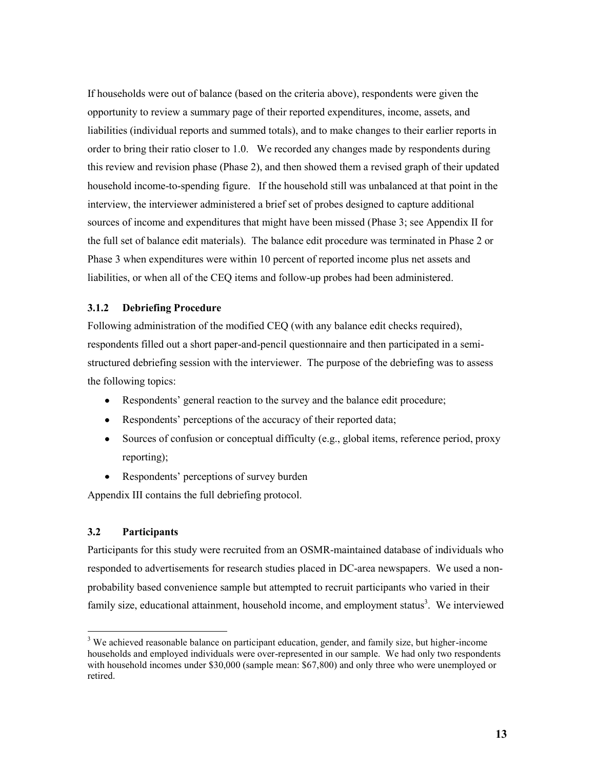If households were out of balance (based on the criteria above), respondents were given the opportunity to review a summary page of their reported expenditures, income, assets, and liabilities (individual reports and summed totals), and to make changes to their earlier reports in order to bring their ratio closer to 1.0. We recorded any changes made by respondents during this review and revision phase (Phase 2), and then showed them a revised graph of their updated household income-to-spending figure. If the household still was unbalanced at that point in the interview, the interviewer administered a brief set of probes designed to capture additional sources of income and expenditures that might have been missed (Phase 3; see Appendix II for the full set of balance edit materials). The balance edit procedure was terminated in Phase 2 or Phase 3 when expenditures were within 10 percent of reported income plus net assets and liabilities, or when all of the CEQ items and follow-up probes had been administered.

## **3.1.2 Debriefing Procedure**

Following administration of the modified CEQ (with any balance edit checks required), respondents filled out a short paper-and-pencil questionnaire and then participated in a semistructured debriefing session with the interviewer. The purpose of the debriefing was to assess the following topics:

- Respondents' general reaction to the survey and the balance edit procedure;
- Respondents' perceptions of the accuracy of their reported data;
- Sources of confusion or conceptual difficulty (e.g., global items, reference period, proxy reporting);
- Respondents' perceptions of survey burden

Appendix III contains the full debriefing protocol.

#### **3.2 Participants**

Participants for this study were recruited from an OSMR-maintained database of individuals who responded to advertisements for research studies placed in DC-area newspapers. We used a nonprobability based convenience sample but attempted to recruit participants who varied in their family size, educational attainment, household income, and employment status<sup>3</sup>. We interviewed

<sup>&</sup>lt;sup>3</sup> We achieved reasonable balance on participant education, gender, and family size, but higher-income households and employed individuals were over-represented in our sample. We had only two respondents with household incomes under \$30,000 (sample mean: \$67,800) and only three who were unemployed or retired.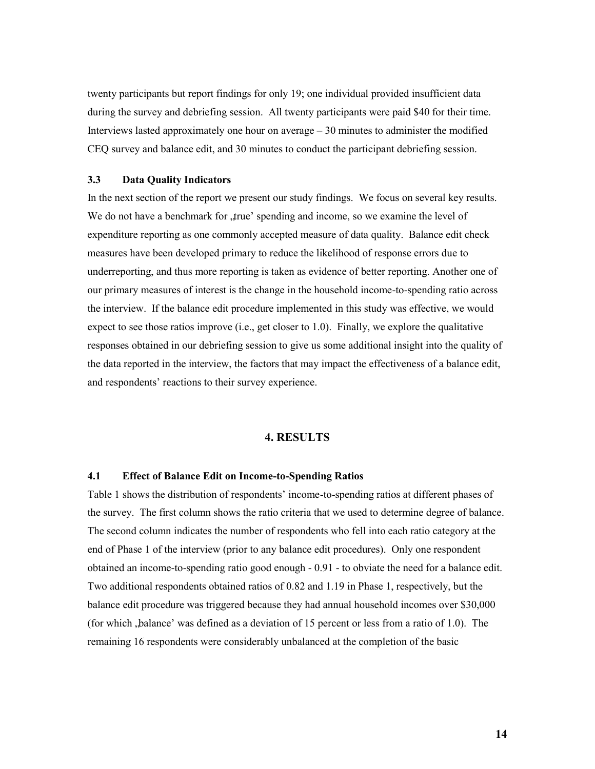twenty participants but report findings for only 19; one individual provided insufficient data during the survey and debriefing session. All twenty participants were paid \$40 for their time. Interviews lasted approximately one hour on average – 30 minutes to administer the modified CEQ survey and balance edit, and 30 minutes to conduct the participant debriefing session.

#### **3.3 Data Quality Indicators**

In the next section of the report we present our study findings. We focus on several key results. We do not have a benchmark for ,true' spending and income, so we examine the level of expenditure reporting as one commonly accepted measure of data quality. Balance edit check measures have been developed primary to reduce the likelihood of response errors due to underreporting, and thus more reporting is taken as evidence of better reporting. Another one of our primary measures of interest is the change in the household income-to-spending ratio across the interview. If the balance edit procedure implemented in this study was effective, we would expect to see those ratios improve (i.e., get closer to 1.0). Finally, we explore the qualitative responses obtained in our debriefing session to give us some additional insight into the quality of the data reported in the interview, the factors that may impact the effectiveness of a balance edit, and respondents' reactions to their survey experience.

# **4. RESULTS**

#### **4.1 Effect of Balance Edit on Income-to-Spending Ratios**

Table 1 shows the distribution of respondents" income-to-spending ratios at different phases of the survey. The first column shows the ratio criteria that we used to determine degree of balance. The second column indicates the number of respondents who fell into each ratio category at the end of Phase 1 of the interview (prior to any balance edit procedures). Only one respondent obtained an income-to-spending ratio good enough - 0.91 - to obviate the need for a balance edit. Two additional respondents obtained ratios of 0.82 and 1.19 in Phase 1, respectively, but the balance edit procedure was triggered because they had annual household incomes over \$30,000 (for which  $\mu$ balance' was defined as a deviation of 15 percent or less from a ratio of 1.0). The remaining 16 respondents were considerably unbalanced at the completion of the basic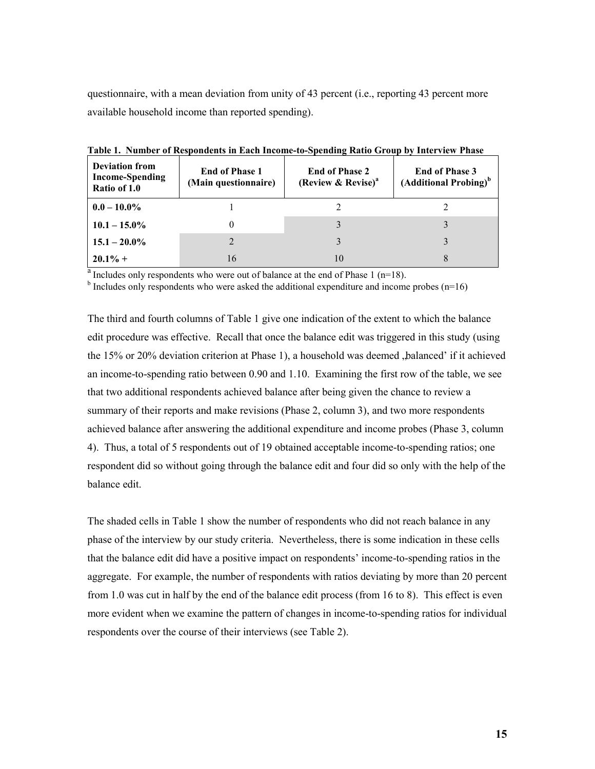questionnaire, with a mean deviation from unity of 43 percent (i.e., reporting 43 percent more available household income than reported spending).

| <b>Deviation from</b><br><b>Income-Spending</b><br>Ratio of 1.0 | <b>End of Phase 1</b><br>(Main questionnaire) | <b>End of Phase 2</b><br>(Review & Revise) <sup>a</sup> | <b>End of Phase 3</b><br>(Additional Probing) <sup>b</sup> |  |
|-----------------------------------------------------------------|-----------------------------------------------|---------------------------------------------------------|------------------------------------------------------------|--|
| $0.0 - 10.0\%$                                                  |                                               |                                                         |                                                            |  |
| $10.1 - 15.0\%$                                                 | 0                                             |                                                         |                                                            |  |
| $15.1 - 20.0\%$                                                 |                                               |                                                         |                                                            |  |
| $20.1\% +$                                                      | 16                                            | 10                                                      |                                                            |  |

**Table 1. Number of Respondents in Each Income-to-Spending Ratio Group by Interview Phase** 

 $a$ <sup>n</sup> Includes only respondents who were out of balance at the end of Phase 1 (n=18).

 $b$  Includes only respondents who were asked the additional expenditure and income probes (n=16)

The third and fourth columns of Table 1 give one indication of the extent to which the balance edit procedure was effective. Recall that once the balance edit was triggered in this study (using the  $15\%$  or  $20\%$  deviation criterion at Phase 1), a household was deemed  $\Delta$ balanced' if it achieved an income-to-spending ratio between 0.90 and 1.10. Examining the first row of the table, we see that two additional respondents achieved balance after being given the chance to review a summary of their reports and make revisions (Phase 2, column 3), and two more respondents achieved balance after answering the additional expenditure and income probes (Phase 3, column 4). Thus, a total of 5 respondents out of 19 obtained acceptable income-to-spending ratios; one respondent did so without going through the balance edit and four did so only with the help of the balance edit.

The shaded cells in Table 1 show the number of respondents who did not reach balance in any phase of the interview by our study criteria. Nevertheless, there is some indication in these cells that the balance edit did have a positive impact on respondents" income-to-spending ratios in the aggregate. For example, the number of respondents with ratios deviating by more than 20 percent from 1.0 was cut in half by the end of the balance edit process (from 16 to 8). This effect is even more evident when we examine the pattern of changes in income-to-spending ratios for individual respondents over the course of their interviews (see Table 2).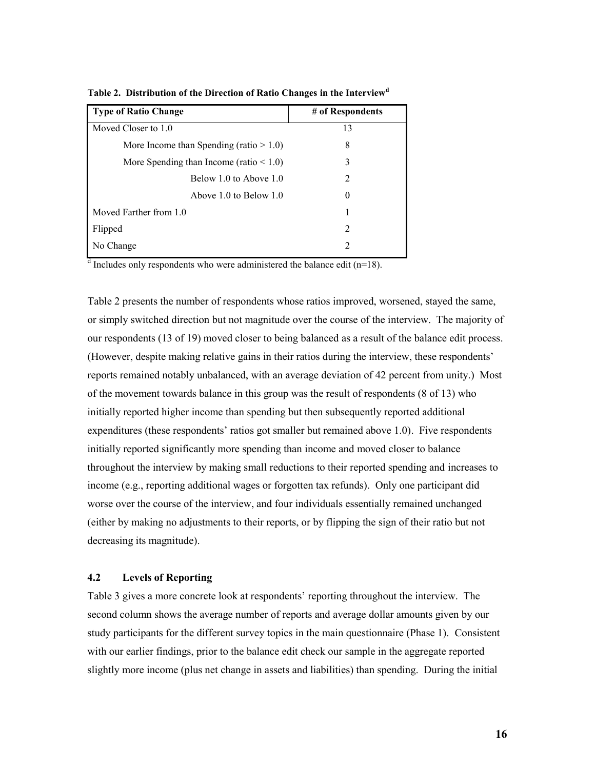| # of Respondents |
|------------------|
| 13               |
| 8                |
| 3                |
| 2                |
| $\theta$         |
|                  |
| $\overline{2}$   |
| $\overline{2}$   |
|                  |

**Table 2. Distribution of the Direction of Ratio Changes in the Interview<sup>d</sup>**

<sup>d</sup> Includes only respondents who were administered the balance edit ( $n=18$ ).

Table 2 presents the number of respondents whose ratios improved, worsened, stayed the same, or simply switched direction but not magnitude over the course of the interview. The majority of our respondents (13 of 19) moved closer to being balanced as a result of the balance edit process. (However, despite making relative gains in their ratios during the interview, these respondents" reports remained notably unbalanced, with an average deviation of 42 percent from unity.) Most of the movement towards balance in this group was the result of respondents (8 of 13) who initially reported higher income than spending but then subsequently reported additional expenditures (these respondents' ratios got smaller but remained above 1.0). Five respondents initially reported significantly more spending than income and moved closer to balance throughout the interview by making small reductions to their reported spending and increases to income (e.g., reporting additional wages or forgotten tax refunds). Only one participant did worse over the course of the interview, and four individuals essentially remained unchanged (either by making no adjustments to their reports, or by flipping the sign of their ratio but not decreasing its magnitude).

## **4.2 Levels of Reporting**

Table 3 gives a more concrete look at respondents" reporting throughout the interview. The second column shows the average number of reports and average dollar amounts given by our study participants for the different survey topics in the main questionnaire (Phase 1). Consistent with our earlier findings, prior to the balance edit check our sample in the aggregate reported slightly more income (plus net change in assets and liabilities) than spending. During the initial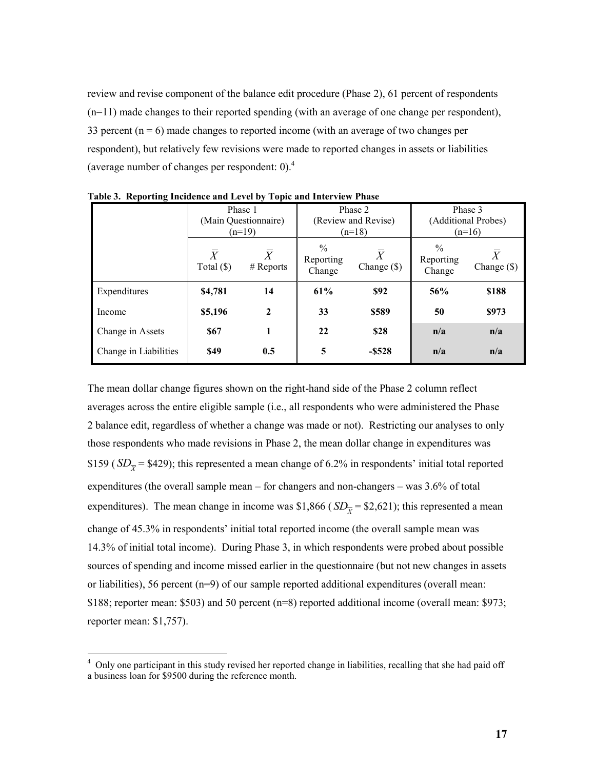review and revise component of the balance edit procedure (Phase 2), 61 percent of respondents (n=11) made changes to their reported spending (with an average of one change per respondent), 33 percent ( $n = 6$ ) made changes to reported income (with an average of two changes per respondent), but relatively few revisions were made to reported changes in assets or liabilities (average number of changes per respondent:  $0$ ).<sup>4</sup>

| radic 9. Teporting incluence and Lever by Topic and filter from I hase |                                 |                          |                                      |                            |                                      |                            |
|------------------------------------------------------------------------|---------------------------------|--------------------------|--------------------------------------|----------------------------|--------------------------------------|----------------------------|
|                                                                        | Phase 1<br>(Main Questionnaire) |                          | Phase 2<br>(Review and Revise)       |                            | Phase 3<br>(Additional Probes)       |                            |
|                                                                        | $(n=19)$                        |                          | $(n=18)$                             |                            | $(n=16)$                             |                            |
|                                                                        | $\overline{X}$<br>Total $(\$)$  | $\bar{X}$<br>$#$ Reports | $\frac{0}{0}$<br>Reporting<br>Change | $\bar{X}$<br>Change $(\$)$ | $\frac{0}{0}$<br>Reporting<br>Change | $\bar{X}$<br>Change $(\$)$ |
| Expenditures                                                           | \$4,781                         | 14                       | 61%                                  | \$92                       | 56%                                  | \$188                      |
| Income                                                                 | \$5,196                         | $\mathbf{2}$             | 33                                   | \$589                      | 50                                   | \$973                      |
| Change in Assets                                                       | \$67                            | 1                        | 22                                   | \$28                       | n/a                                  | n/a                        |
| Change in Liabilities                                                  | \$49                            | 0.5                      | 5                                    | $-$ \$528                  | n/a                                  | n/a                        |

**Table 3. Reporting Incidence and Level by Topic and Interview Phase** 

The mean dollar change figures shown on the right-hand side of the Phase 2 column reflect averages across the entire eligible sample (i.e., all respondents who were administered the Phase 2 balance edit, regardless of whether a change was made or not). Restricting our analyses to only those respondents who made revisions in Phase 2, the mean dollar change in expenditures was \$159 ( $SD_{\overline{X}}$  = \$429); this represented a mean change of 6.2% in respondents' initial total reported expenditures (the overall sample mean – for changers and non-changers – was 3.6% of total expenditures). The mean change in income was \$1,866 ( $SD_{\overline{X}}$  = \$2,621); this represented a mean change of 45.3% in respondents' initial total reported income (the overall sample mean was 14.3% of initial total income). During Phase 3, in which respondents were probed about possible sources of spending and income missed earlier in the questionnaire (but not new changes in assets or liabilities), 56 percent ( $n=9$ ) of our sample reported additional expenditures (overall mean: \$188; reporter mean: \$503) and 50 percent (n=8) reported additional income (overall mean: \$973; reporter mean: \$1,757).

<sup>&</sup>lt;sup>4</sup> Only one participant in this study revised her reported change in liabilities, recalling that she had paid off a business loan for \$9500 during the reference month.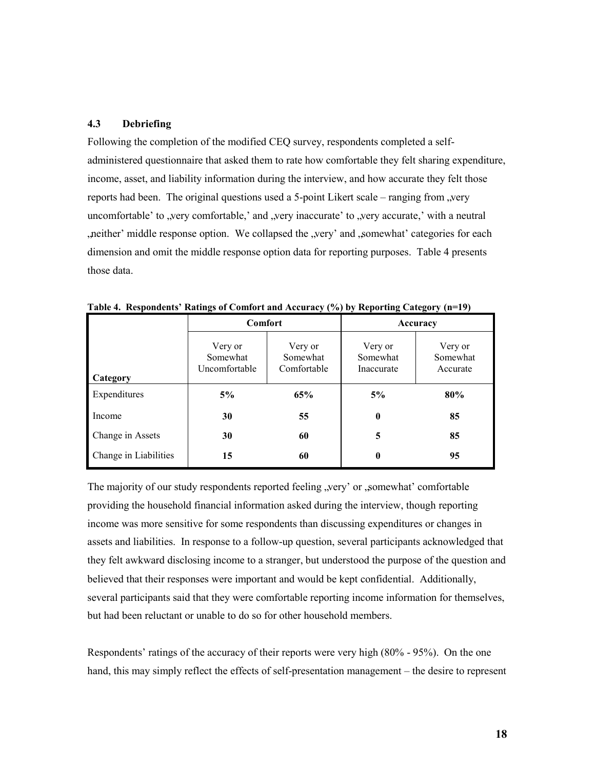## **4.3 Debriefing**

Following the completion of the modified CEQ survey, respondents completed a selfadministered questionnaire that asked them to rate how comfortable they felt sharing expenditure, income, asset, and liability information during the interview, and how accurate they felt those reports had been. The original questions used a 5-point Likert scale – ranging from "very uncomfortable' to "very comfortable," and "very inaccurate" to "very accurate," with a neutral neither' middle response option. We collapsed the "very" and "somewhat" categories for each dimension and omit the middle response option data for reporting purposes. Table 4 presents those data.

|                       | Comfort                              |                                    | Accuracy                          |                                 |  |
|-----------------------|--------------------------------------|------------------------------------|-----------------------------------|---------------------------------|--|
| Category              | Very or<br>Somewhat<br>Uncomfortable | Very or<br>Somewhat<br>Comfortable | Very or<br>Somewhat<br>Inaccurate | Very or<br>Somewhat<br>Accurate |  |
| Expenditures          | 5%                                   | 65%                                | 5%                                | 80%                             |  |
| Income                | 30                                   | 55                                 | $\mathbf{0}$                      | 85                              |  |
| Change in Assets      | 30                                   | 60                                 | 5                                 | 85                              |  |
| Change in Liabilities | 15                                   | 60                                 | 0                                 | 95                              |  |

**Table 4. Respondents' Ratings of Comfort and Accuracy (%) by Reporting Category (n=19)** 

The majority of our study respondents reported feeling "very' or "somewhat" comfortable providing the household financial information asked during the interview, though reporting income was more sensitive for some respondents than discussing expenditures or changes in assets and liabilities. In response to a follow-up question, several participants acknowledged that they felt awkward disclosing income to a stranger, but understood the purpose of the question and believed that their responses were important and would be kept confidential. Additionally, several participants said that they were comfortable reporting income information for themselves, but had been reluctant or unable to do so for other household members.

Respondents' ratings of the accuracy of their reports were very high (80% - 95%). On the one hand, this may simply reflect the effects of self-presentation management – the desire to represent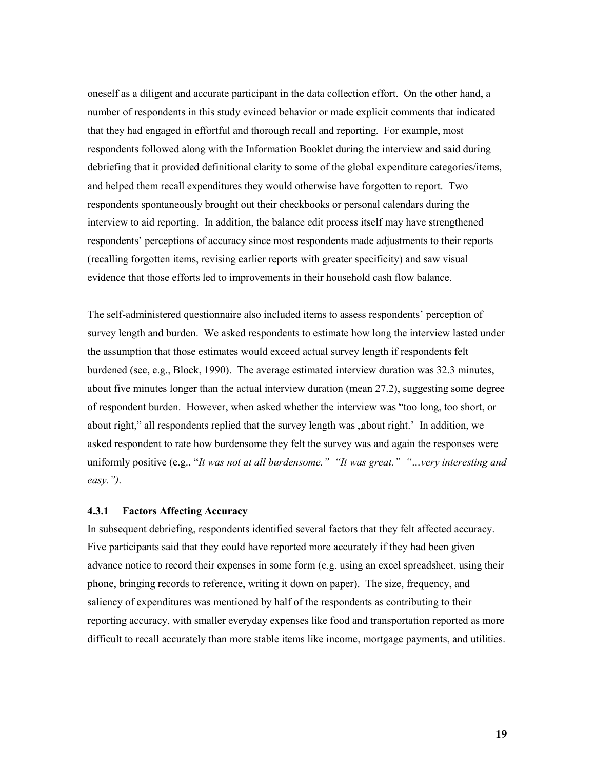oneself as a diligent and accurate participant in the data collection effort. On the other hand, a number of respondents in this study evinced behavior or made explicit comments that indicated that they had engaged in effortful and thorough recall and reporting. For example, most respondents followed along with the Information Booklet during the interview and said during debriefing that it provided definitional clarity to some of the global expenditure categories/items, and helped them recall expenditures they would otherwise have forgotten to report. Two respondents spontaneously brought out their checkbooks or personal calendars during the interview to aid reporting. In addition, the balance edit process itself may have strengthened respondents" perceptions of accuracy since most respondents made adjustments to their reports (recalling forgotten items, revising earlier reports with greater specificity) and saw visual evidence that those efforts led to improvements in their household cash flow balance.

The self-administered questionnaire also included items to assess respondents" perception of survey length and burden. We asked respondents to estimate how long the interview lasted under the assumption that those estimates would exceed actual survey length if respondents felt burdened (see, e.g., Block, 1990). The average estimated interview duration was 32.3 minutes, about five minutes longer than the actual interview duration (mean 27.2), suggesting some degree of respondent burden. However, when asked whether the interview was "too long, too short, or about right," all respondents replied that the survey length was , about right." In addition, we asked respondent to rate how burdensome they felt the survey was and again the responses were uniformly positive (e.g., "*It was not at all burdensome." "It was great." "…very interesting and easy.")*.

#### **4.3.1 Factors Affecting Accuracy**

In subsequent debriefing, respondents identified several factors that they felt affected accuracy. Five participants said that they could have reported more accurately if they had been given advance notice to record their expenses in some form (e.g. using an excel spreadsheet, using their phone, bringing records to reference, writing it down on paper). The size, frequency, and saliency of expenditures was mentioned by half of the respondents as contributing to their reporting accuracy, with smaller everyday expenses like food and transportation reported as more difficult to recall accurately than more stable items like income, mortgage payments, and utilities.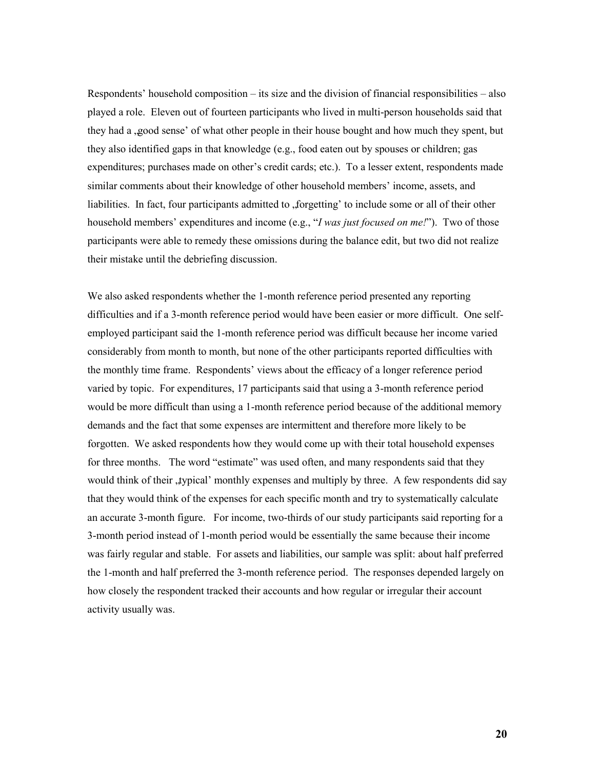Respondents' household composition  $-$  its size and the division of financial responsibilities  $-$  also played a role. Eleven out of fourteen participants who lived in multi-person households said that they had a ,good sense' of what other people in their house bought and how much they spent, but they also identified gaps in that knowledge (e.g., food eaten out by spouses or children; gas expenditures; purchases made on other"s credit cards; etc.). To a lesser extent, respondents made similar comments about their knowledge of other household members" income, assets, and liabilities. In fact, four participants admitted to , forgetting' to include some or all of their other household members' expenditures and income (e.g., "*I was just focused on me!*"). Two of those participants were able to remedy these omissions during the balance edit, but two did not realize their mistake until the debriefing discussion.

We also asked respondents whether the 1-month reference period presented any reporting difficulties and if a 3-month reference period would have been easier or more difficult. One selfemployed participant said the 1-month reference period was difficult because her income varied considerably from month to month, but none of the other participants reported difficulties with the monthly time frame. Respondents" views about the efficacy of a longer reference period varied by topic. For expenditures, 17 participants said that using a 3-month reference period would be more difficult than using a 1-month reference period because of the additional memory demands and the fact that some expenses are intermittent and therefore more likely to be forgotten. We asked respondents how they would come up with their total household expenses for three months. The word "estimate" was used often, and many respondents said that they would think of their , typical' monthly expenses and multiply by three. A few respondents did say that they would think of the expenses for each specific month and try to systematically calculate an accurate 3-month figure. For income, two-thirds of our study participants said reporting for a 3-month period instead of 1-month period would be essentially the same because their income was fairly regular and stable. For assets and liabilities, our sample was split: about half preferred the 1-month and half preferred the 3-month reference period. The responses depended largely on how closely the respondent tracked their accounts and how regular or irregular their account activity usually was.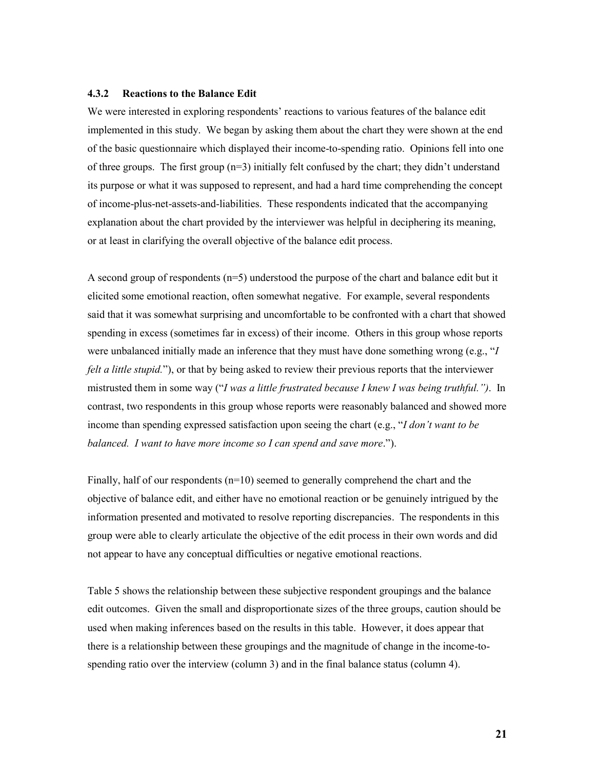## **4.3.2 Reactions to the Balance Edit**

We were interested in exploring respondents' reactions to various features of the balance edit implemented in this study. We began by asking them about the chart they were shown at the end of the basic questionnaire which displayed their income-to-spending ratio. Opinions fell into one of three groups. The first group  $(n=3)$  initially felt confused by the chart; they didn't understand its purpose or what it was supposed to represent, and had a hard time comprehending the concept of income-plus-net-assets-and-liabilities. These respondents indicated that the accompanying explanation about the chart provided by the interviewer was helpful in deciphering its meaning, or at least in clarifying the overall objective of the balance edit process.

A second group of respondents (n=5) understood the purpose of the chart and balance edit but it elicited some emotional reaction, often somewhat negative. For example, several respondents said that it was somewhat surprising and uncomfortable to be confronted with a chart that showed spending in excess (sometimes far in excess) of their income. Others in this group whose reports were unbalanced initially made an inference that they must have done something wrong (e.g., "*I felt a little stupid.*"), or that by being asked to review their previous reports that the interviewer mistrusted them in some way ("*I was a little frustrated because I knew I was being truthful.")*. In contrast, two respondents in this group whose reports were reasonably balanced and showed more income than spending expressed satisfaction upon seeing the chart (e.g., "*I don't want to be balanced. I want to have more income so I can spend and save more*.").

Finally, half of our respondents (n=10) seemed to generally comprehend the chart and the objective of balance edit, and either have no emotional reaction or be genuinely intrigued by the information presented and motivated to resolve reporting discrepancies. The respondents in this group were able to clearly articulate the objective of the edit process in their own words and did not appear to have any conceptual difficulties or negative emotional reactions.

Table 5 shows the relationship between these subjective respondent groupings and the balance edit outcomes. Given the small and disproportionate sizes of the three groups, caution should be used when making inferences based on the results in this table. However, it does appear that there is a relationship between these groupings and the magnitude of change in the income-tospending ratio over the interview (column 3) and in the final balance status (column 4).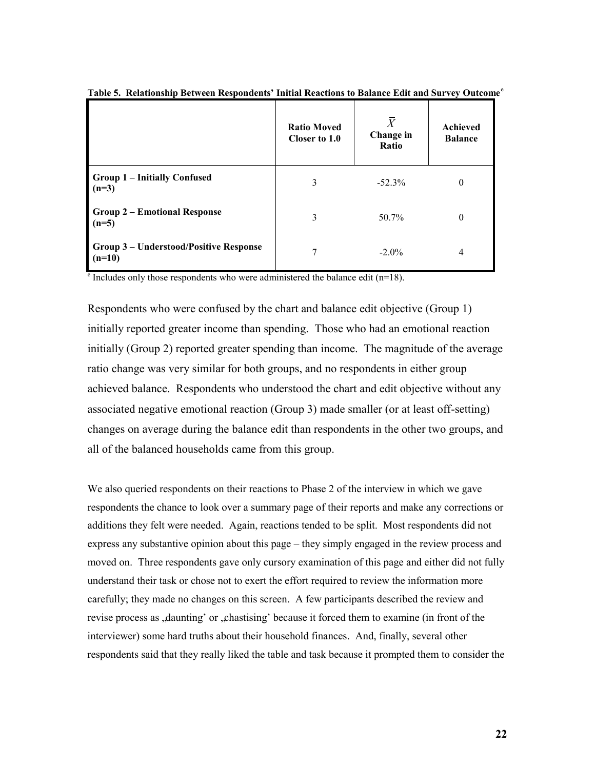|                                                           | <b>Ratio Moved</b><br>Closer to 1.0 | $\bar{X}$<br>Change in<br>Ratio | Achieved<br><b>Balance</b> |
|-----------------------------------------------------------|-------------------------------------|---------------------------------|----------------------------|
| <b>Group 1 – Initially Confused</b><br>$(n=3)$            | 3                                   | $-52.3%$                        | $\theta$                   |
| <b>Group 2 – Emotional Response</b><br>$(n=5)$            | 3                                   | 50.7%                           | $\theta$                   |
| <b>Group 3 – Understood/Positive Response</b><br>$(n=10)$ | 7                                   | $-2.0\%$                        | 4                          |

Table 5. Relationship Between Respondents' Initial Reactions to Balance Edit and Survey Outcome<sup>e</sup>

 $\epsilon$  Includes only those respondents who were administered the balance edit (n=18).

Respondents who were confused by the chart and balance edit objective (Group 1) initially reported greater income than spending. Those who had an emotional reaction initially (Group 2) reported greater spending than income. The magnitude of the average ratio change was very similar for both groups, and no respondents in either group achieved balance. Respondents who understood the chart and edit objective without any associated negative emotional reaction (Group 3) made smaller (or at least off-setting) changes on average during the balance edit than respondents in the other two groups, and all of the balanced households came from this group.

We also queried respondents on their reactions to Phase 2 of the interview in which we gave respondents the chance to look over a summary page of their reports and make any corrections or additions they felt were needed. Again, reactions tended to be split. Most respondents did not express any substantive opinion about this page – they simply engaged in the review process and moved on. Three respondents gave only cursory examination of this page and either did not fully understand their task or chose not to exert the effort required to review the information more carefully; they made no changes on this screen. A few participants described the review and revise process as  $\alpha$ , daunting' or  $\alpha$ , chastising' because it forced them to examine (in front of the interviewer) some hard truths about their household finances. And, finally, several other respondents said that they really liked the table and task because it prompted them to consider the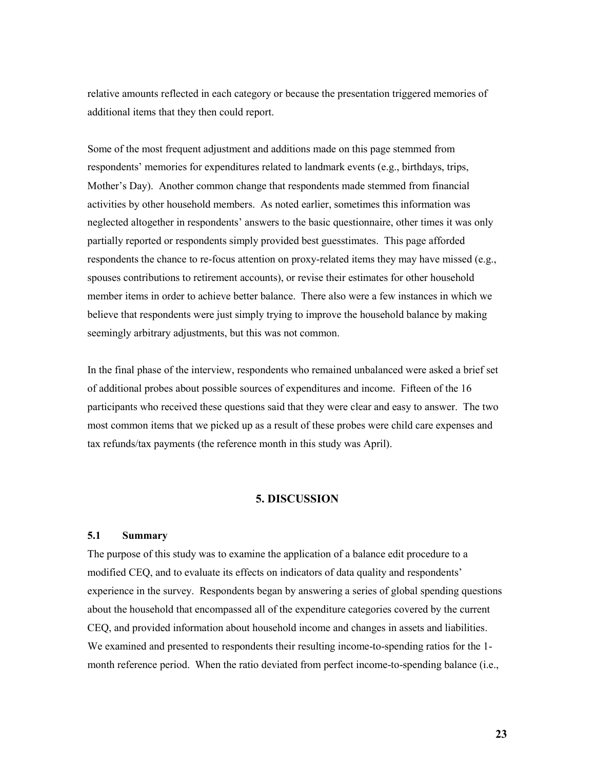relative amounts reflected in each category or because the presentation triggered memories of additional items that they then could report.

Some of the most frequent adjustment and additions made on this page stemmed from respondents' memories for expenditures related to landmark events (e.g., birthdays, trips, Mother"s Day). Another common change that respondents made stemmed from financial activities by other household members. As noted earlier, sometimes this information was neglected altogether in respondents' answers to the basic questionnaire, other times it was only partially reported or respondents simply provided best guesstimates. This page afforded respondents the chance to re-focus attention on proxy-related items they may have missed (e.g., spouses contributions to retirement accounts), or revise their estimates for other household member items in order to achieve better balance. There also were a few instances in which we believe that respondents were just simply trying to improve the household balance by making seemingly arbitrary adjustments, but this was not common.

In the final phase of the interview, respondents who remained unbalanced were asked a brief set of additional probes about possible sources of expenditures and income. Fifteen of the 16 participants who received these questions said that they were clear and easy to answer. The two most common items that we picked up as a result of these probes were child care expenses and tax refunds/tax payments (the reference month in this study was April).

# **5. DISCUSSION**

#### **5.1 Summary**

The purpose of this study was to examine the application of a balance edit procedure to a modified CEQ, and to evaluate its effects on indicators of data quality and respondents' experience in the survey. Respondents began by answering a series of global spending questions about the household that encompassed all of the expenditure categories covered by the current CEQ, and provided information about household income and changes in assets and liabilities. We examined and presented to respondents their resulting income-to-spending ratios for the 1 month reference period. When the ratio deviated from perfect income-to-spending balance (i.e.,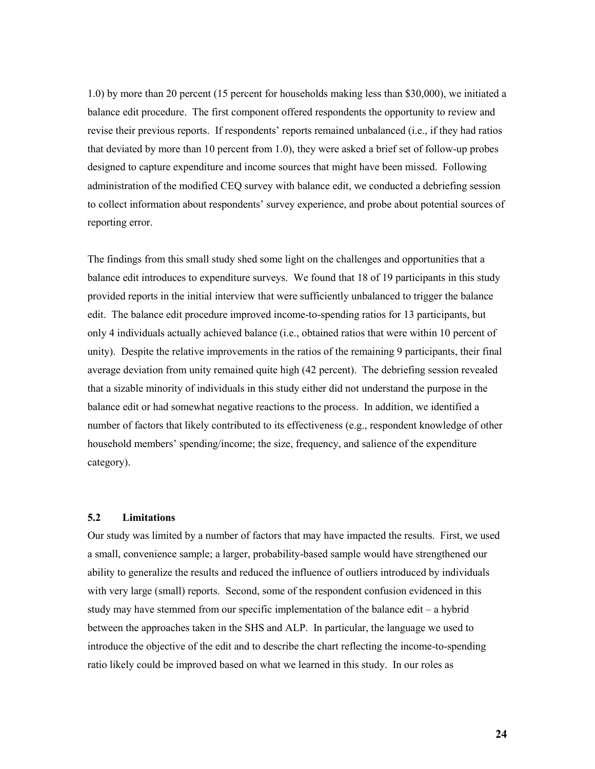1.0) by more than 20 percent (15 percent for households making less than \$30,000), we initiated a balance edit procedure. The first component offered respondents the opportunity to review and revise their previous reports. If respondents' reports remained unbalanced (i.e., if they had ratios that deviated by more than 10 percent from 1.0), they were asked a brief set of follow-up probes designed to capture expenditure and income sources that might have been missed. Following administration of the modified CEQ survey with balance edit, we conducted a debriefing session to collect information about respondents" survey experience, and probe about potential sources of reporting error.

The findings from this small study shed some light on the challenges and opportunities that a balance edit introduces to expenditure surveys. We found that 18 of 19 participants in this study provided reports in the initial interview that were sufficiently unbalanced to trigger the balance edit. The balance edit procedure improved income-to-spending ratios for 13 participants, but only 4 individuals actually achieved balance (i.e., obtained ratios that were within 10 percent of unity). Despite the relative improvements in the ratios of the remaining 9 participants, their final average deviation from unity remained quite high (42 percent). The debriefing session revealed that a sizable minority of individuals in this study either did not understand the purpose in the balance edit or had somewhat negative reactions to the process. In addition, we identified a number of factors that likely contributed to its effectiveness (e.g., respondent knowledge of other household members' spending/income; the size, frequency, and salience of the expenditure category).

## **5.2 Limitations**

Our study was limited by a number of factors that may have impacted the results. First, we used a small, convenience sample; a larger, probability-based sample would have strengthened our ability to generalize the results and reduced the influence of outliers introduced by individuals with very large (small) reports. Second, some of the respondent confusion evidenced in this study may have stemmed from our specific implementation of the balance edit – a hybrid between the approaches taken in the SHS and ALP. In particular, the language we used to introduce the objective of the edit and to describe the chart reflecting the income-to-spending ratio likely could be improved based on what we learned in this study. In our roles as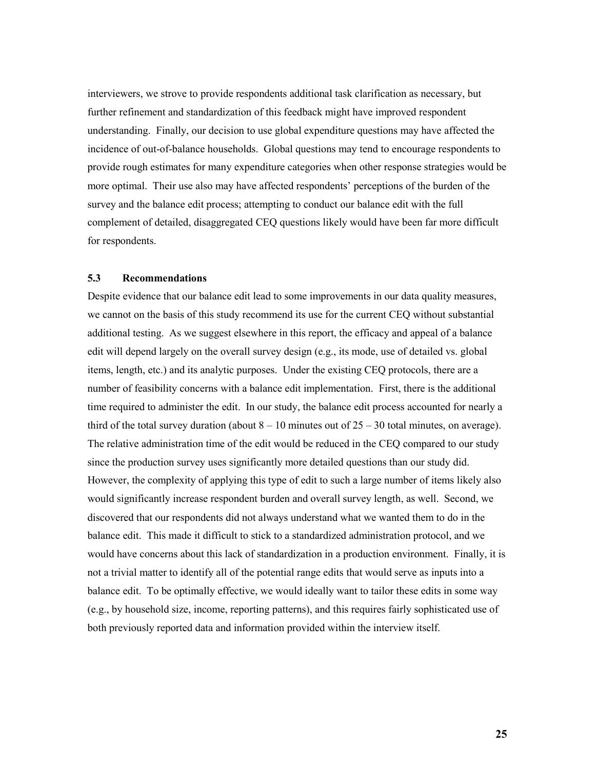interviewers, we strove to provide respondents additional task clarification as necessary, but further refinement and standardization of this feedback might have improved respondent understanding. Finally, our decision to use global expenditure questions may have affected the incidence of out-of-balance households. Global questions may tend to encourage respondents to provide rough estimates for many expenditure categories when other response strategies would be more optimal. Their use also may have affected respondents" perceptions of the burden of the survey and the balance edit process; attempting to conduct our balance edit with the full complement of detailed, disaggregated CEQ questions likely would have been far more difficult for respondents.

#### **5.3 Recommendations**

Despite evidence that our balance edit lead to some improvements in our data quality measures, we cannot on the basis of this study recommend its use for the current CEQ without substantial additional testing. As we suggest elsewhere in this report, the efficacy and appeal of a balance edit will depend largely on the overall survey design (e.g., its mode, use of detailed vs. global items, length, etc.) and its analytic purposes. Under the existing CEQ protocols, there are a number of feasibility concerns with a balance edit implementation. First, there is the additional time required to administer the edit. In our study, the balance edit process accounted for nearly a third of the total survey duration (about  $8 - 10$  minutes out of  $25 - 30$  total minutes, on average). The relative administration time of the edit would be reduced in the CEQ compared to our study since the production survey uses significantly more detailed questions than our study did. However, the complexity of applying this type of edit to such a large number of items likely also would significantly increase respondent burden and overall survey length, as well. Second, we discovered that our respondents did not always understand what we wanted them to do in the balance edit. This made it difficult to stick to a standardized administration protocol, and we would have concerns about this lack of standardization in a production environment. Finally, it is not a trivial matter to identify all of the potential range edits that would serve as inputs into a balance edit. To be optimally effective, we would ideally want to tailor these edits in some way (e.g., by household size, income, reporting patterns), and this requires fairly sophisticated use of both previously reported data and information provided within the interview itself.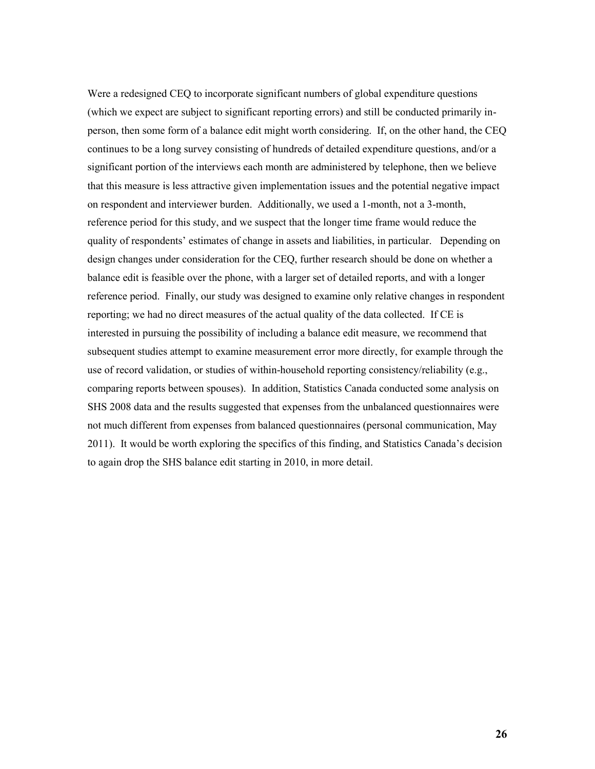Were a redesigned CEQ to incorporate significant numbers of global expenditure questions (which we expect are subject to significant reporting errors) and still be conducted primarily inperson, then some form of a balance edit might worth considering. If, on the other hand, the CEQ continues to be a long survey consisting of hundreds of detailed expenditure questions, and/or a significant portion of the interviews each month are administered by telephone, then we believe that this measure is less attractive given implementation issues and the potential negative impact on respondent and interviewer burden. Additionally, we used a 1-month, not a 3-month, reference period for this study, and we suspect that the longer time frame would reduce the quality of respondents' estimates of change in assets and liabilities, in particular. Depending on design changes under consideration for the CEQ, further research should be done on whether a balance edit is feasible over the phone, with a larger set of detailed reports, and with a longer reference period. Finally, our study was designed to examine only relative changes in respondent reporting; we had no direct measures of the actual quality of the data collected. If CE is interested in pursuing the possibility of including a balance edit measure, we recommend that subsequent studies attempt to examine measurement error more directly, for example through the use of record validation, or studies of within-household reporting consistency/reliability (e.g., comparing reports between spouses). In addition, Statistics Canada conducted some analysis on SHS 2008 data and the results suggested that expenses from the unbalanced questionnaires were not much different from expenses from balanced questionnaires (personal communication, May 2011). It would be worth exploring the specifics of this finding, and Statistics Canada"s decision to again drop the SHS balance edit starting in 2010, in more detail.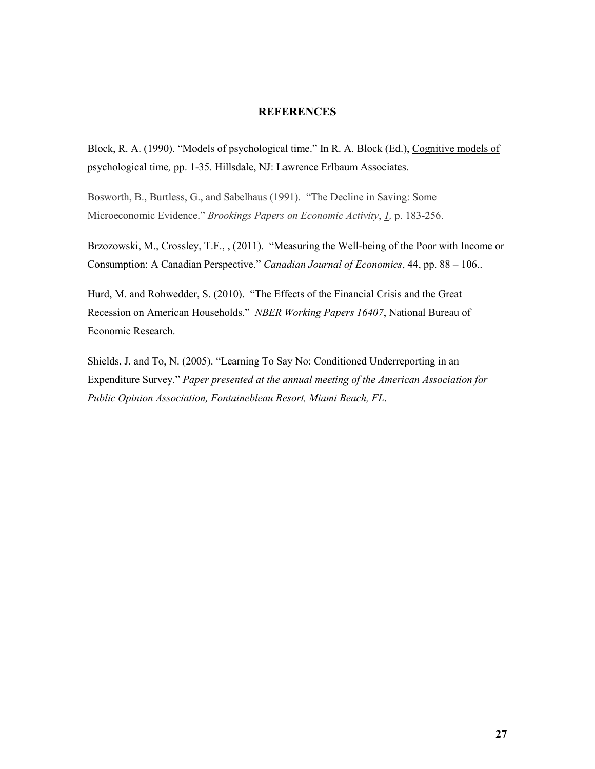## **REFERENCES**

Block, R. A. (1990). "Models of psychological time." In R. A. Block (Ed.), Cognitive models of psychological time*,* pp. 1-35. Hillsdale, NJ: Lawrence Erlbaum Associates.

Bosworth, B., Burtless, G., and Sabelhaus (1991). "The Decline in Saving: Some Microeconomic Evidence." *Brookings Papers on Economic Activity*, *1,* p. 183-256.

Brzozowski, M., Crossley, T.F., , (2011). "Measuring the Well-being of the Poor with Income or Consumption: A Canadian Perspective." *Canadian Journal of Economics*, 44, pp. 88 – 106..

Hurd, M. and Rohwedder, S. (2010). "The Effects of the Financial Crisis and the Great Recession on American Households." *NBER Working Papers 16407*, National Bureau of Economic Research.

Shields, J. and To, N. (2005). "Learning To Say No: Conditioned Underreporting in an Expenditure Survey." *Paper presented at the annual meeting of the American Association for Public Opinion Association, Fontainebleau Resort, Miami Beach, FL*.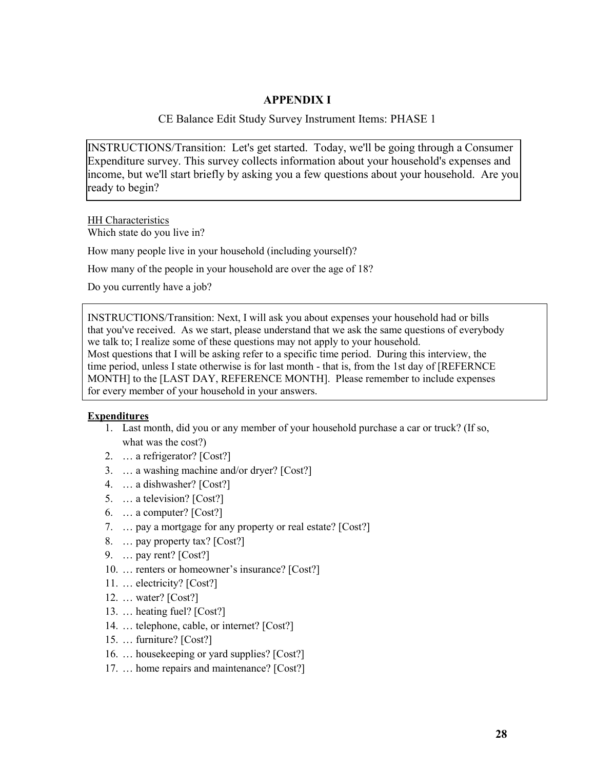# **APPENDIX I**

# CE Balance Edit Study Survey Instrument Items: PHASE 1

INSTRUCTIONS/Transition: Let's get started. Today, we'll be going through a Consumer Expenditure survey. This survey collects information about your household's expenses and income, but we'll start briefly by asking you a few questions about your household. Are you ready to begin?

HH Characteristics Which state do you live in?

How many people live in your household (including yourself)?

How many of the people in your household are over the age of 18?

Do you currently have a job?

INSTRUCTIONS/Transition: Next, I will ask you about expenses your household had or bills that you've received. As we start, please understand that we ask the same questions of everybody we talk to; I realize some of these questions may not apply to your household. Most questions that I will be asking refer to a specific time period. During this interview, the time period, unless I state otherwise is for last month - that is, from the 1st day of [REFERNCE MONTH] to the [LAST DAY, REFERENCE MONTH]. Please remember to include expenses for every member of your household in your answers.

# **Expenditures**

- 1. Last month, did you or any member of your household purchase a car or truck? (If so, what was the cost?)
- 2. … a refrigerator? [Cost?]
- 3. … a washing machine and/or dryer? [Cost?]
- 4. … a dishwasher? [Cost?]
- 5. … a television? [Cost?]
- 6. … a computer? [Cost?]
- 7. … pay a mortgage for any property or real estate? [Cost?]
- 8. … pay property tax? [Cost?]
- 9. … pay rent? [Cost?]
- 10. … renters or homeowner"s insurance? [Cost?]
- 11. … electricity? [Cost?]
- 12. … water? [Cost?]
- 13. … heating fuel? [Cost?]
- 14. … telephone, cable, or internet? [Cost?]
- 15. … furniture? [Cost?]
- 16. … housekeeping or yard supplies? [Cost?]
- 17. … home repairs and maintenance? [Cost?]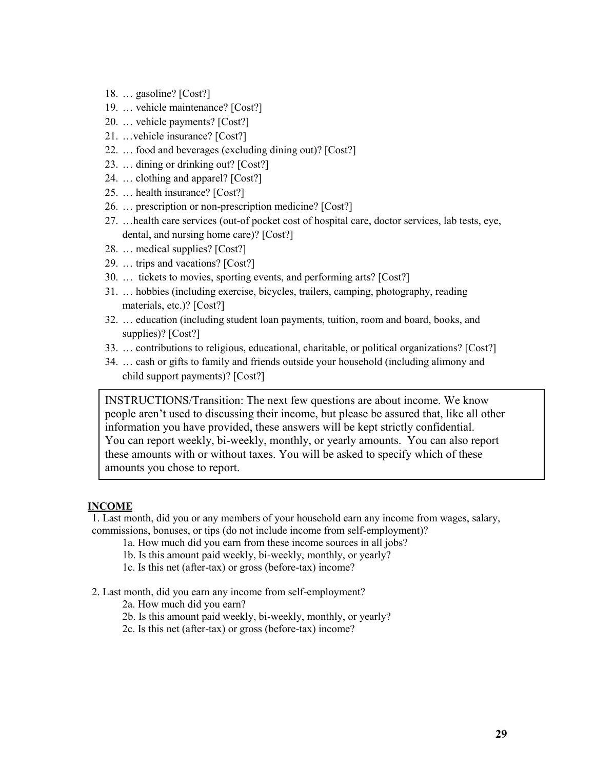- 18. … gasoline? [Cost?]
- 19. … vehicle maintenance? [Cost?]
- 20. … vehicle payments? [Cost?]
- 21. …vehicle insurance? [Cost?]
- 22. … food and beverages (excluding dining out)? [Cost?]
- 23. … dining or drinking out? [Cost?]
- 24. … clothing and apparel? [Cost?]
- 25. … health insurance? [Cost?]
- 26. … prescription or non-prescription medicine? [Cost?]
- 27. …health care services (out-of pocket cost of hospital care, doctor services, lab tests, eye, dental, and nursing home care)? [Cost?]
- 28. … medical supplies? [Cost?]
- 29. … trips and vacations? [Cost?]
- 30. … tickets to movies, sporting events, and performing arts? [Cost?]
- 31. … hobbies (including exercise, bicycles, trailers, camping, photography, reading materials, etc.)? [Cost?]
- 32. … education (including student loan payments, tuition, room and board, books, and supplies)? [Cost?]
- 33. … contributions to religious, educational, charitable, or political organizations? [Cost?]
- 34. … cash or gifts to family and friends outside your household (including alimony and child support payments)? [Cost?]

INSTRUCTIONS/Transition: The next few questions are about income. We know people aren"t used to discussing their income, but please be assured that, like all other information you have provided, these answers will be kept strictly confidential. You can report weekly, bi-weekly, monthly, or yearly amounts. You can also report these amounts with or without taxes. You will be asked to specify which of these amounts you chose to report.

# **INCOME**

1. Last month, did you or any members of your household earn any income from wages, salary, commissions, bonuses, or tips (do not include income from self-employment)?

1a. How much did you earn from these income sources in all jobs?

- 1b. Is this amount paid weekly, bi-weekly, monthly, or yearly?
- 1c. Is this net (after-tax) or gross (before-tax) income?

2. Last month, did you earn any income from self-employment?

2a. How much did you earn?

2b. Is this amount paid weekly, bi-weekly, monthly, or yearly?

2c. Is this net (after-tax) or gross (before-tax) income?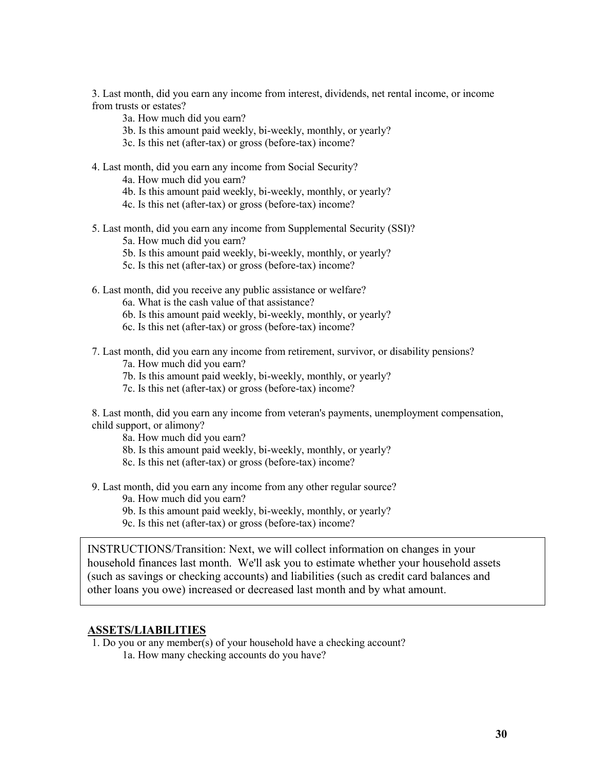3. Last month, did you earn any income from interest, dividends, net rental income, or income from trusts or estates?

- 3a. How much did you earn?
- 3b. Is this amount paid weekly, bi-weekly, monthly, or yearly?
- 3c. Is this net (after-tax) or gross (before-tax) income?
- 4. Last month, did you earn any income from Social Security?
	- 4a. How much did you earn?
	- 4b. Is this amount paid weekly, bi-weekly, monthly, or yearly?
	- 4c. Is this net (after-tax) or gross (before-tax) income?
- 5. Last month, did you earn any income from Supplemental Security (SSI)?
	- 5a. How much did you earn?
	- 5b. Is this amount paid weekly, bi-weekly, monthly, or yearly?
	- 5c. Is this net (after-tax) or gross (before-tax) income?
- 6. Last month, did you receive any public assistance or welfare?
	- 6a. What is the cash value of that assistance?
	- 6b. Is this amount paid weekly, bi-weekly, monthly, or yearly?
	- 6c. Is this net (after-tax) or gross (before-tax) income?
- 7. Last month, did you earn any income from retirement, survivor, or disability pensions? 7a. How much did you earn?
	- 7b. Is this amount paid weekly, bi-weekly, monthly, or yearly?
	- 7c. Is this net (after-tax) or gross (before-tax) income?

8. Last month, did you earn any income from veteran's payments, unemployment compensation, child support, or alimony?

- 8a. How much did you earn?
- 8b. Is this amount paid weekly, bi-weekly, monthly, or yearly?
- 8c. Is this net (after-tax) or gross (before-tax) income?
- 9. Last month, did you earn any income from any other regular source?
	- 9a. How much did you earn?
	- 9b. Is this amount paid weekly, bi-weekly, monthly, or yearly?
	- 9c. Is this net (after-tax) or gross (before-tax) income?

INSTRUCTIONS/Transition: Next, we will collect information on changes in your household finances last month. We'll ask you to estimate whether your household assets (such as savings or checking accounts) and liabilities (such as credit card balances and other loans you owe) increased or decreased last month and by what amount.

# **ASSETS/LIABILITIES**

 $\overline{a}$ 

1. Do you or any member(s) of your household have a checking account?

1a. How many checking accounts do you have?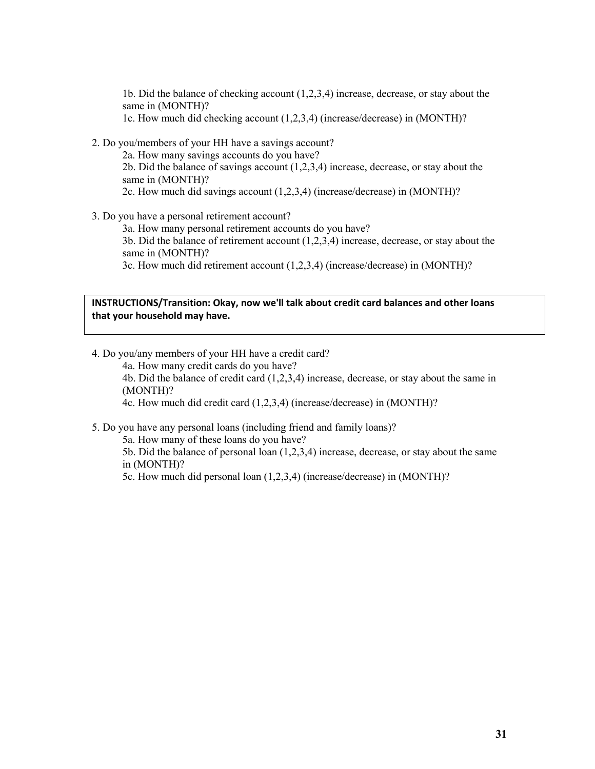1b. Did the balance of checking account (1,2,3,4) increase, decrease, or stay about the same in (MONTH)? 1c. How much did checking account (1,2,3,4) (increase/decrease) in (MONTH)?

2. Do you/members of your HH have a savings account?

2a. How many savings accounts do you have?

2b. Did the balance of savings account (1,2,3,4) increase, decrease, or stay about the same in (MONTH)?

2c. How much did savings account (1,2,3,4) (increase/decrease) in (MONTH)?

3. Do you have a personal retirement account?

3a. How many personal retirement accounts do you have?

3b. Did the balance of retirement account (1,2,3,4) increase, decrease, or stay about the same in (MONTH)?

3c. How much did retirement account (1,2,3,4) (increase/decrease) in (MONTH)?

## **INSTRUCTIONS/Transition: Okay, now we'll talk about credit card balances and other loans that your household may have.**

4. Do you/any members of your HH have a credit card? 4a. How many credit cards do you have?

> 4b. Did the balance of credit card (1,2,3,4) increase, decrease, or stay about the same in (MONTH)?

4c. How much did credit card (1,2,3,4) (increase/decrease) in (MONTH)?

5. Do you have any personal loans (including friend and family loans)?

5a. How many of these loans do you have?

5b. Did the balance of personal loan (1,2,3,4) increase, decrease, or stay about the same in (MONTH)?

5c. How much did personal loan (1,2,3,4) (increase/decrease) in (MONTH)?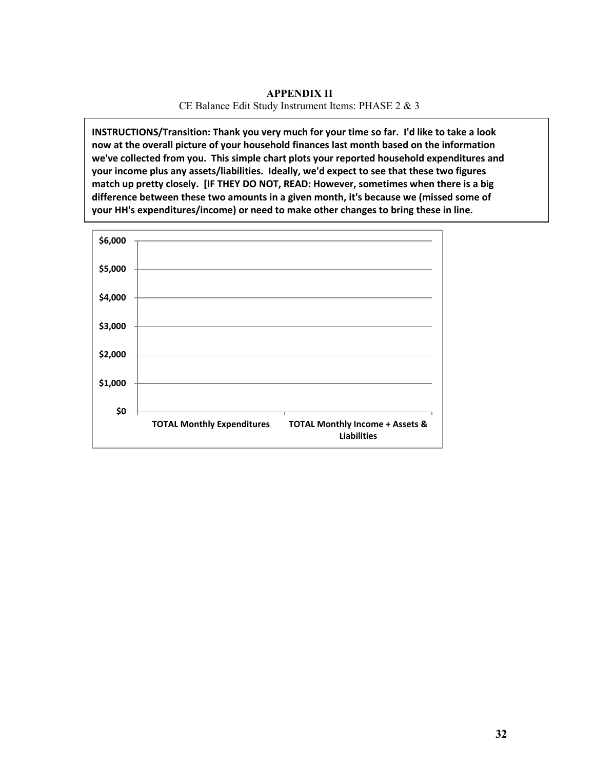# **APPENDIX II** CE Balance Edit Study Instrument Items: PHASE 2 & 3

**INSTRUCTIONS/Transition: Thank you very much for your time so far. I'd like to take a look now at the overall picture of your household finances last month based on the information we've collected from you. This simple chart plots your reported household expenditures and your income plus any assets/liabilities. Ideally, we'd expect to see that these two figures match up pretty closely. [IF THEY DO NOT, READ: However, sometimes when there is a big difference between these two amounts in a given month, it's because we (missed some of your HH's expenditures/income) or need to make other changes to bring these in line.** 

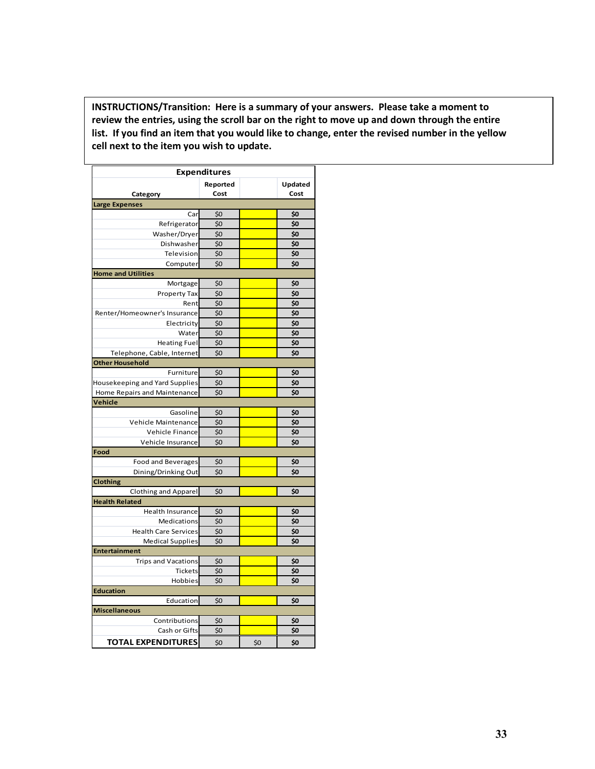**INSTRUCTIONS/Transition: Here is a summary of your answers. Please take a moment to review the entries, using the scroll bar on the right to move up and down through the entire list. If you find an item that you would like to change, enter the revised number in the yellow cell next to the item you wish to update.** 

| <b>Expenditures</b>            |          |     |         |  |  |  |
|--------------------------------|----------|-----|---------|--|--|--|
|                                | Reported |     | Updated |  |  |  |
| Category                       | Cost     |     | Cost    |  |  |  |
| <b>Large Expenses</b>          |          |     |         |  |  |  |
| Car                            | \$0      |     | \$0     |  |  |  |
| Refrigerator                   | \$0      |     | \$0     |  |  |  |
| Washer/Dryer                   | \$0      |     | \$0     |  |  |  |
| Dishwasher                     | \$0      |     | \$0     |  |  |  |
| Television                     | \$0      |     | \$0     |  |  |  |
| Computer                       | \$0      |     | \$0     |  |  |  |
| <b>Home and Utilities</b>      |          |     |         |  |  |  |
| Mortgage                       | \$0      |     | \$0     |  |  |  |
| Property Tax                   | \$0      |     | \$0     |  |  |  |
| Rent                           | \$0      |     | \$0     |  |  |  |
| Renter/Homeowner's Insurance   | \$0      |     | \$0     |  |  |  |
| Electricity                    | \$0      |     | \$0     |  |  |  |
| Water                          | \$0      |     | \$0     |  |  |  |
| <b>Heating Fuel</b>            | \$0      |     | \$0     |  |  |  |
| Telephone, Cable, Internet     | \$0      |     | \$0     |  |  |  |
| <b>Other Household</b>         |          |     |         |  |  |  |
| Furniture                      | \$0      |     | \$0     |  |  |  |
| Housekeeping and Yard Supplies | \$0      |     | \$0     |  |  |  |
| Home Repairs and Maintenance   | \$0      |     | \$0     |  |  |  |
| Vehicle                        |          |     |         |  |  |  |
| Gasoline                       | \$0      |     | \$0     |  |  |  |
| Vehicle Maintenance            | \$0      |     | \$0     |  |  |  |
| Vehicle Finance                | \$0      |     | \$0     |  |  |  |
| Vehicle Insurance              | \$0      |     | \$0     |  |  |  |
| Food                           |          |     |         |  |  |  |
| Food and Beverages             | \$0      |     | \$0     |  |  |  |
| Dining/Drinking Out            | \$0      |     | \$0     |  |  |  |
| <b>Clothing</b>                |          |     |         |  |  |  |
| <b>Clothing and Apparel</b>    | \$0      |     | \$0     |  |  |  |
| <b>Health Related</b>          |          |     |         |  |  |  |
| Health Insurance               | \$0      |     | \$0     |  |  |  |
| Medications                    | \$0      |     | \$0     |  |  |  |
| <b>Health Care Services</b>    | \$0      |     | \$0     |  |  |  |
| <b>Medical Supplies</b>        | \$0      |     | \$0     |  |  |  |
| <b>Entertainment</b>           |          |     |         |  |  |  |
| <b>Trips and Vacations</b>     | \$0      |     | \$0     |  |  |  |
| Tickets                        | \$0      |     | \$0     |  |  |  |
| Hobbies                        | \$0      |     | \$0     |  |  |  |
| <b>Education</b>               |          |     |         |  |  |  |
| Education                      | \$0      |     | \$0     |  |  |  |
| <b>Miscellaneous</b>           |          |     |         |  |  |  |
| Contributions                  | \$0      |     | \$0     |  |  |  |
| Cash or Gifts                  | \$0      |     | \$0     |  |  |  |
| <b>TOTAL EXPENDITURES</b>      | \$0      | \$0 | \$0     |  |  |  |
|                                |          |     |         |  |  |  |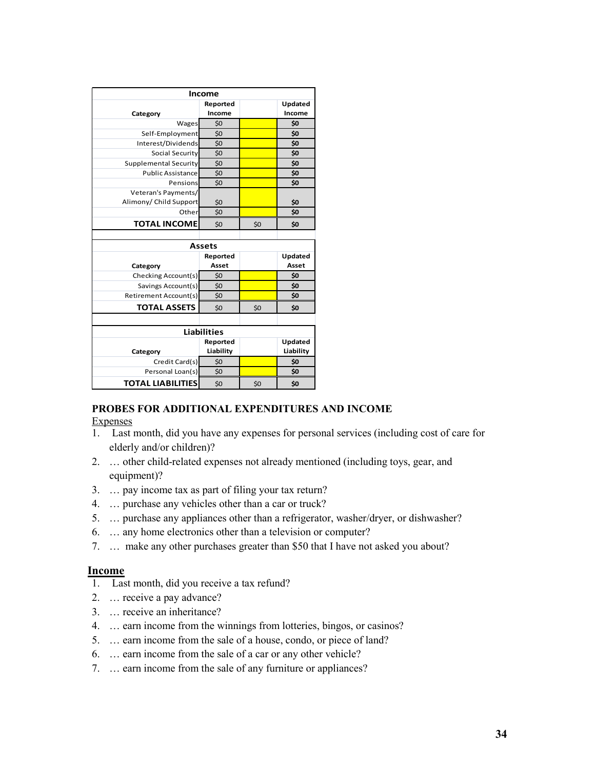| Income                       |               |     |           |  |  |  |
|------------------------------|---------------|-----|-----------|--|--|--|
|                              | Reported      |     | Updated   |  |  |  |
| Category                     | Income        |     | Income    |  |  |  |
| Wages                        | \$0           |     | \$0       |  |  |  |
| Self-Employment              | \$0           |     | \$0       |  |  |  |
| Interest/Dividends           | \$0           |     | \$0       |  |  |  |
| Social Security              | \$0           |     | \$0       |  |  |  |
| <b>Supplemental Security</b> | \$0           |     | \$0       |  |  |  |
| <b>Public Assistance</b>     | \$0           |     | \$0       |  |  |  |
| Pensions                     | \$0           |     | \$O       |  |  |  |
| Veteran's Payments/          |               |     |           |  |  |  |
| Alimony/ Child Support       | \$0           |     | \$0       |  |  |  |
| Other                        | \$0           |     | \$0       |  |  |  |
| <b>TOTAL INCOME</b>          | \$0           | \$0 | \$O       |  |  |  |
|                              |               |     |           |  |  |  |
|                              | <b>Assets</b> |     |           |  |  |  |
|                              | Reported      |     | Updated   |  |  |  |
| Category                     | Asset         |     | Asset     |  |  |  |
| Checking Account(s)          | \$0           |     | \$0       |  |  |  |
| Savings Account(s)           | \$0           |     | \$O       |  |  |  |
| Retirement Account(s)        | \$0           |     | \$0       |  |  |  |
| <b>TOTAL ASSETS</b>          | \$0           | \$0 | \$O       |  |  |  |
|                              |               |     |           |  |  |  |
| <b>Liabilities</b>           |               |     |           |  |  |  |
|                              | Reported      |     | Updated   |  |  |  |
| Category                     | Liability     |     | Liability |  |  |  |
| Credit Card(s)               | \$0           |     | \$0       |  |  |  |
| Personal Loan(s)             | \$0           |     | \$0       |  |  |  |
| <b>TOTAL LIABILITIES</b>     | \$0           | \$0 | \$0       |  |  |  |

# **PROBES FOR ADDITIONAL EXPENDITURES AND INCOME**

Expenses

- 1. Last month, did you have any expenses for personal services (including cost of care for elderly and/or children)?
- 2. … other child-related expenses not already mentioned (including toys, gear, and equipment)?
- 3. … pay income tax as part of filing your tax return?
- 4. … purchase any vehicles other than a car or truck?
- 5. … purchase any appliances other than a refrigerator, washer/dryer, or dishwasher?
- 6. … any home electronics other than a television or computer?
- 7. … make any other purchases greater than \$50 that I have not asked you about?

# **Income**

- 1. Last month, did you receive a tax refund?
- 2. … receive a pay advance?
- 3. … receive an inheritance?
- 4. … earn income from the winnings from lotteries, bingos, or casinos?
- 5. … earn income from the sale of a house, condo, or piece of land?
- 6. … earn income from the sale of a car or any other vehicle?
- 7. … earn income from the sale of any furniture or appliances?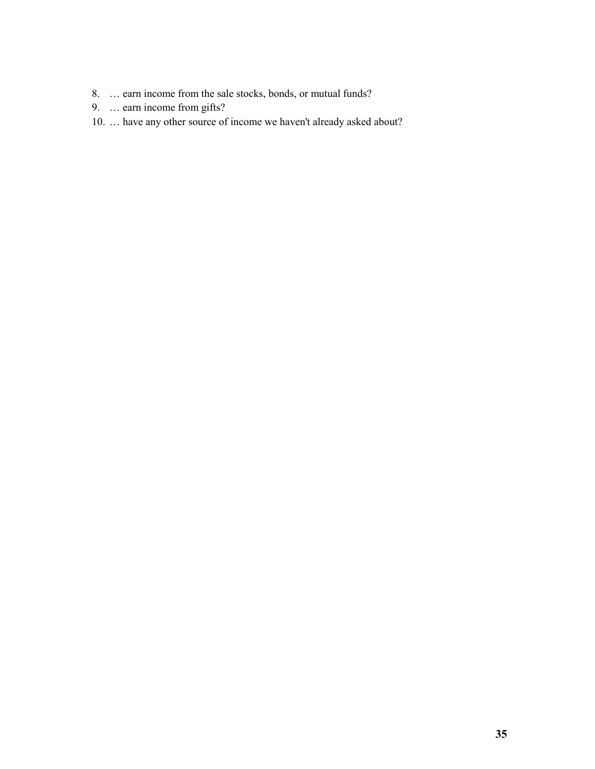- 8. … earn income from the sale stocks, bonds, or mutual funds?
- 9. … earn income from gifts?
- 10. … have any other source of income we haven't already asked about?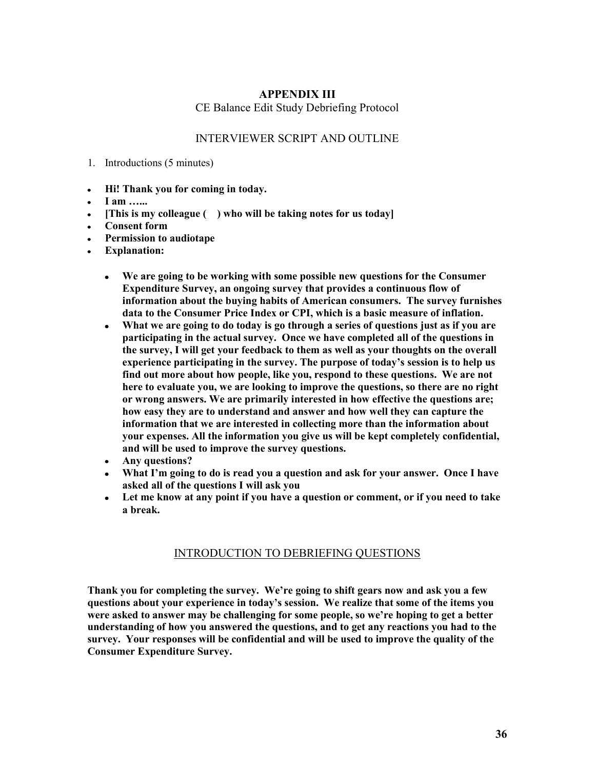# **APPENDIX III**

CE Balance Edit Study Debriefing Protocol

# INTERVIEWER SCRIPT AND OUTLINE

- 1. Introductions (5 minutes)
- **Hi! Thank you for coming in today.**
- **I am …...**   $\bullet$
- **[This is my colleague ( ) who will be taking notes for us today]**
- **Consent form**   $\bullet$
- **Permission to audiotape**   $\bullet$
- **Explanation:** 
	- $\bullet$ **We are going to be working with some possible new questions for the Consumer Expenditure Survey, an ongoing survey that provides a continuous flow of information about the buying habits of American consumers. The survey furnishes data to the Consumer Price Index or CPI, which is a basic measure of inflation.**
	- **What we are going to do today is go through a series of questions just as if you are**   $\bullet$ **participating in the actual survey. Once we have completed all of the questions in the survey, I will get your feedback to them as well as your thoughts on the overall experience participating in the survey. The purpose of today's session is to help us find out more about how people, like you, respond to these questions. We are not here to evaluate you, we are looking to improve the questions, so there are no right or wrong answers. We are primarily interested in how effective the questions are; how easy they are to understand and answer and how well they can capture the information that we are interested in collecting more than the information about your expenses. All the information you give us will be kept completely confidential, and will be used to improve the survey questions.**
	- **Any questions?**
	- **What I'm going to do is read you a question and ask for your answer. Once I have asked all of the questions I will ask you**
	- **Let me know at any point if you have a question or comment, or if you need to take a break.**

# INTRODUCTION TO DEBRIEFING QUESTIONS

**Thank you for completing the survey. We're going to shift gears now and ask you a few questions about your experience in today's session. We realize that some of the items you were asked to answer may be challenging for some people, so we're hoping to get a better understanding of how you answered the questions, and to get any reactions you had to the survey. Your responses will be confidential and will be used to improve the quality of the Consumer Expenditure Survey.**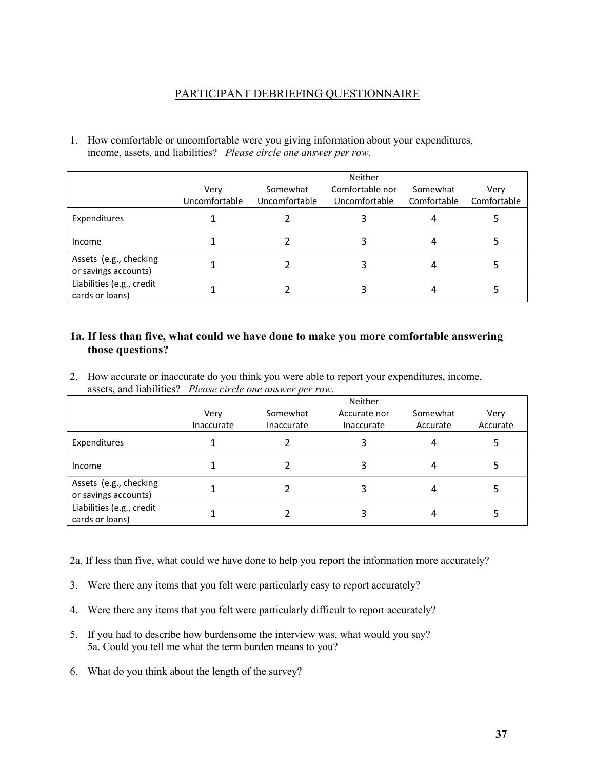# PARTICIPANT DEBRIEFING QUESTIONNAIRE

1. How comfortable or uncomfortable were you giving information about your expenditures, income, assets, and liabilities? *Please circle one answer per row.*

|                                                | Very<br>Uncomfortable | Somewhat<br>Uncomfortable | <b>Neither</b><br>Comfortable nor<br>Uncomfortable | Somewhat<br>Comfortable | Verv<br>Comfortable |
|------------------------------------------------|-----------------------|---------------------------|----------------------------------------------------|-------------------------|---------------------|
| Expenditures                                   |                       |                           |                                                    |                         |                     |
| Income                                         |                       |                           |                                                    | 4                       |                     |
| Assets (e.g., checking<br>or savings accounts) |                       |                           |                                                    |                         |                     |
| Liabilities (e.g., credit<br>cards or loans)   |                       |                           |                                                    |                         |                     |

# **1a. If less than five, what could we have done to make you more comfortable answering those questions?**

2. How accurate or inaccurate do you think you were able to report your expenditures, income, assets, and liabilities? *Please circle one answer per row.* 

|                                                | Neither    |            |              |          |          |  |
|------------------------------------------------|------------|------------|--------------|----------|----------|--|
|                                                | Very       | Somewhat   | Accurate nor | Somewhat | Very     |  |
|                                                | Inaccurate | Inaccurate | Inaccurate   | Accurate | Accurate |  |
| Expenditures                                   |            |            | 3.           |          |          |  |
| Income                                         |            |            | 3            |          |          |  |
| Assets (e.g., checking<br>or savings accounts) |            |            | 3            |          |          |  |
| Liabilities (e.g., credit<br>cards or loans)   |            |            | 3            |          |          |  |

2a. If less than five, what could we have done to help you report the information more accurately?

- 3. Were there any items that you felt were particularly easy to report accurately?
- 4. Were there any items that you felt were particularly difficult to report accurately?
- 5. If you had to describe how burdensome the interview was, what would you say? 5a. Could you tell me what the term burden means to you?
- 6. What do you think about the length of the survey?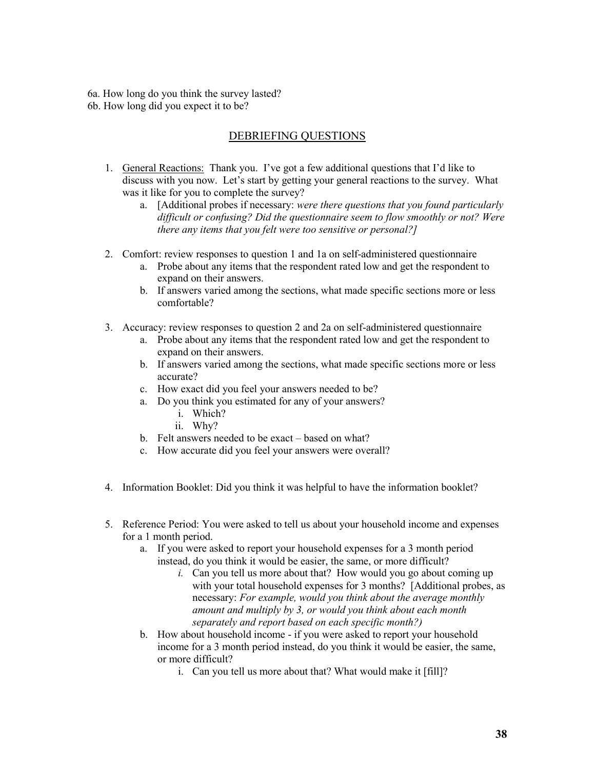6a. How long do you think the survey lasted? 6b. How long did you expect it to be?

# DEBRIEFING QUESTIONS

- 1. General Reactions: Thank you. I"ve got a few additional questions that I"d like to discuss with you now. Let's start by getting your general reactions to the survey. What was it like for you to complete the survey?
	- a. [Additional probes if necessary: *were there questions that you found particularly difficult or confusing? Did the questionnaire seem to flow smoothly or not? Were there any items that you felt were too sensitive or personal?]*
- 2. Comfort: review responses to question 1 and 1a on self-administered questionnaire
	- a. Probe about any items that the respondent rated low and get the respondent to expand on their answers.
	- b. If answers varied among the sections, what made specific sections more or less comfortable?
- 3. Accuracy: review responses to question 2 and 2a on self-administered questionnaire
	- a. Probe about any items that the respondent rated low and get the respondent to expand on their answers.
	- b. If answers varied among the sections, what made specific sections more or less accurate?
	- c. How exact did you feel your answers needed to be?
	- a. Do you think you estimated for any of your answers?
		- i. Which?
		- ii. Why?
	- b. Felt answers needed to be exact based on what?
	- c. How accurate did you feel your answers were overall?
- 4. Information Booklet: Did you think it was helpful to have the information booklet?
- 5. Reference Period: You were asked to tell us about your household income and expenses for a 1 month period.
	- a. If you were asked to report your household expenses for a 3 month period instead, do you think it would be easier, the same, or more difficult?
		- *i.* Can you tell us more about that? How would you go about coming up with your total household expenses for 3 months? [Additional probes, as necessary: *For example, would you think about the average monthly amount and multiply by 3, or would you think about each month separately and report based on each specific month?)*
	- b. How about household income if you were asked to report your household income for a 3 month period instead, do you think it would be easier, the same, or more difficult?
		- i. Can you tell us more about that? What would make it [fill]?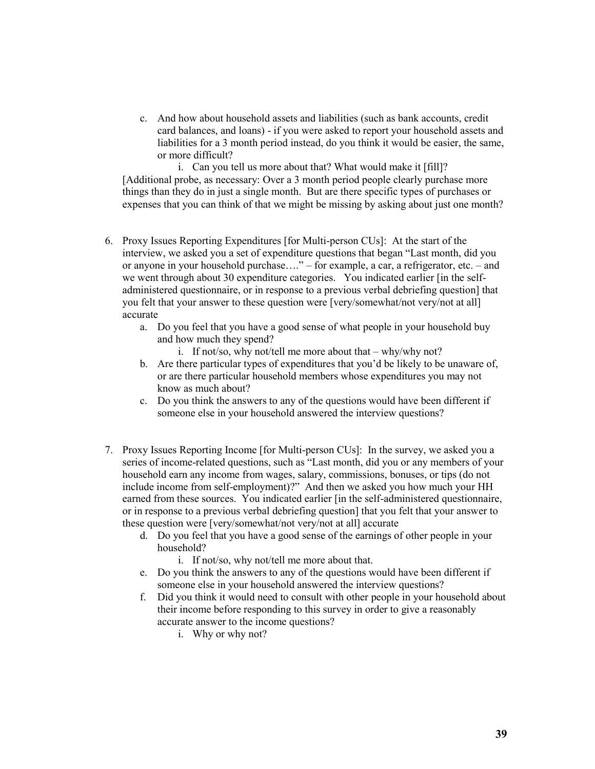c. And how about household assets and liabilities (such as bank accounts, credit card balances, and loans) - if you were asked to report your household assets and liabilities for a 3 month period instead, do you think it would be easier, the same, or more difficult?

i. Can you tell us more about that? What would make it [fill]? [Additional probe, as necessary: Over a 3 month period people clearly purchase more things than they do in just a single month. But are there specific types of purchases or expenses that you can think of that we might be missing by asking about just one month?

- 6. Proxy Issues Reporting Expenditures [for Multi-person CUs]: At the start of the interview, we asked you a set of expenditure questions that began "Last month, did you or anyone in your household purchase…." – for example, a car, a refrigerator, etc. – and we went through about 30 expenditure categories. You indicated earlier [in the selfadministered questionnaire, or in response to a previous verbal debriefing question] that you felt that your answer to these question were [very/somewhat/not very/not at all] accurate
	- a. Do you feel that you have a good sense of what people in your household buy and how much they spend?
		- i. If not/so, why not/tell me more about that why/why not?
	- b. Are there particular types of expenditures that you"d be likely to be unaware of, or are there particular household members whose expenditures you may not know as much about?
	- c. Do you think the answers to any of the questions would have been different if someone else in your household answered the interview questions?
- 7. Proxy Issues Reporting Income [for Multi-person CUs]: In the survey, we asked you a series of income-related questions, such as "Last month, did you or any members of your household earn any income from wages, salary, commissions, bonuses, or tips (do not include income from self-employment)?" And then we asked you how much your HH earned from these sources. You indicated earlier [in the self-administered questionnaire, or in response to a previous verbal debriefing question] that you felt that your answer to these question were [very/somewhat/not very/not at all] accurate
	- d. Do you feel that you have a good sense of the earnings of other people in your household?
		- i. If not/so, why not/tell me more about that.
	- e. Do you think the answers to any of the questions would have been different if someone else in your household answered the interview questions?
	- f. Did you think it would need to consult with other people in your household about their income before responding to this survey in order to give a reasonably accurate answer to the income questions?
		- i. Why or why not?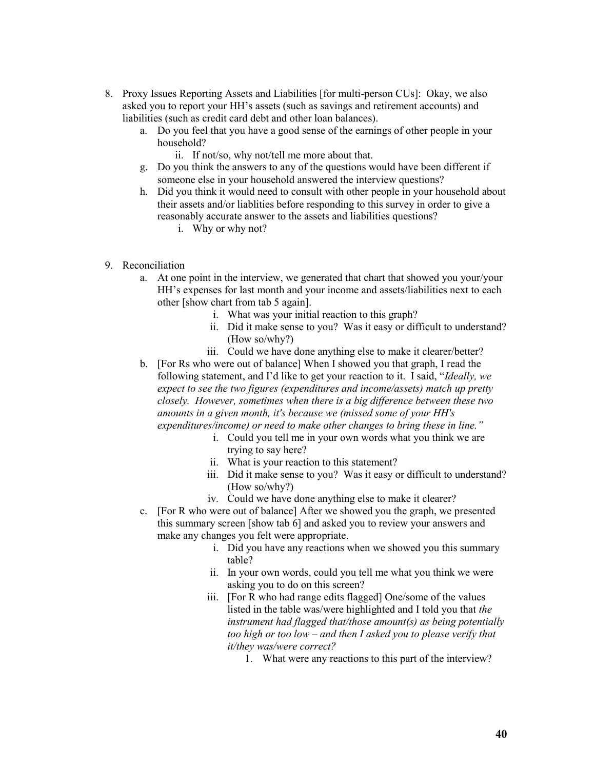- 8. Proxy Issues Reporting Assets and Liabilities [for multi-person CUs]: Okay, we also asked you to report your HH"s assets (such as savings and retirement accounts) and liabilities (such as credit card debt and other loan balances).
	- a. Do you feel that you have a good sense of the earnings of other people in your household?
		- ii. If not/so, why not/tell me more about that.
	- g. Do you think the answers to any of the questions would have been different if someone else in your household answered the interview questions?
	- h. Did you think it would need to consult with other people in your household about their assets and/or liablities before responding to this survey in order to give a reasonably accurate answer to the assets and liabilities questions?
		- i. Why or why not?
- 9. Reconciliation
	- a. At one point in the interview, we generated that chart that showed you your/your HH"s expenses for last month and your income and assets/liabilities next to each other [show chart from tab 5 again].
		- i. What was your initial reaction to this graph?
		- ii. Did it make sense to you? Was it easy or difficult to understand? (How so/why?)
		- iii. Could we have done anything else to make it clearer/better?
	- b. [For Rs who were out of balance] When I showed you that graph, I read the following statement, and I"d like to get your reaction to it. I said, "*Ideally, we expect to see the two figures (expenditures and income/assets) match up pretty closely. However, sometimes when there is a big difference between these two amounts in a given month, it's because we (missed some of your HH's expenditures/income) or need to make other changes to bring these in line."*
		- i. Could you tell me in your own words what you think we are trying to say here?
		- ii. What is your reaction to this statement?
		- iii. Did it make sense to you? Was it easy or difficult to understand? (How so/why?)
		- iv. Could we have done anything else to make it clearer?
	- c. [For R who were out of balance] After we showed you the graph, we presented this summary screen [show tab 6] and asked you to review your answers and make any changes you felt were appropriate.
		- i. Did you have any reactions when we showed you this summary table?
		- ii. In your own words, could you tell me what you think we were asking you to do on this screen?
		- iii. [For R who had range edits flagged] One/some of the values listed in the table was/were highlighted and I told you that *the instrument had flagged that/those amount(s) as being potentially too high or too low – and then I asked you to please verify that it/they was/were correct?*
			- 1. What were any reactions to this part of the interview?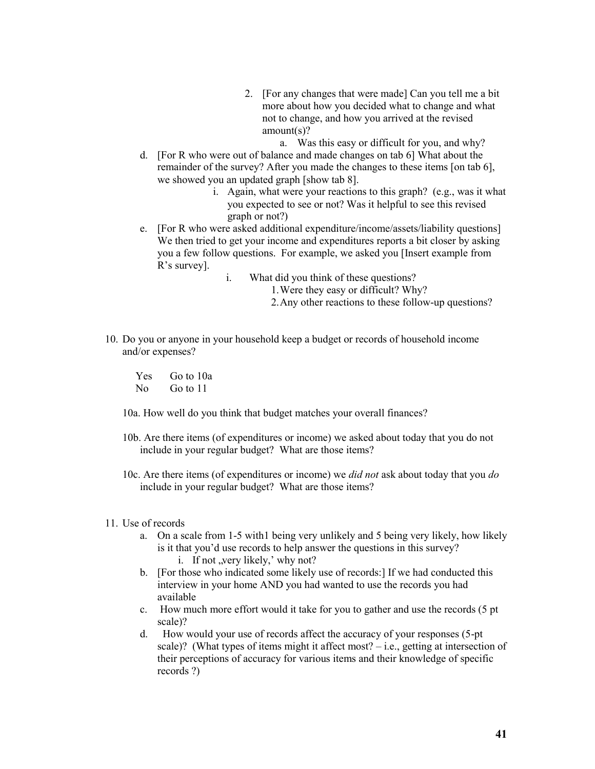- 2. [For any changes that were made] Can you tell me a bit more about how you decided what to change and what not to change, and how you arrived at the revised amount(s)?
	- a. Was this easy or difficult for you, and why?
- d. [For R who were out of balance and made changes on tab 6] What about the remainder of the survey? After you made the changes to these items [on tab 6], we showed you an updated graph [show tab 8].
	- i. Again, what were your reactions to this graph? (e.g., was it what you expected to see or not? Was it helpful to see this revised graph or not?)
- e. [For R who were asked additional expenditure/income/assets/liability questions] We then tried to get your income and expenditures reports a bit closer by asking you a few follow questions. For example, we asked you [Insert example from R"s survey].
	- i. What did you think of these questions?
		- 1.Were they easy or difficult? Why?
		- 2.Any other reactions to these follow-up questions?
- 10. Do you or anyone in your household keep a budget or records of household income and/or expenses?

Yes Go to 10a No Go to 11

- 10a. How well do you think that budget matches your overall finances?
- 10b. Are there items (of expenditures or income) we asked about today that you do not include in your regular budget? What are those items?
- 10c. Are there items (of expenditures or income) we *did not* ask about today that you *do* include in your regular budget? What are those items?

# 11. Use of records

- a. On a scale from 1-5 with1 being very unlikely and 5 being very likely, how likely is it that you"d use records to help answer the questions in this survey? i. If not "very likely," why not?
- b. [For those who indicated some likely use of records:] If we had conducted this interview in your home AND you had wanted to use the records you had available
- c. How much more effort would it take for you to gather and use the records (5 pt scale)?
- d. How would your use of records affect the accuracy of your responses (5-pt scale)? (What types of items might it affect most?  $-$  i.e., getting at intersection of their perceptions of accuracy for various items and their knowledge of specific records ?)